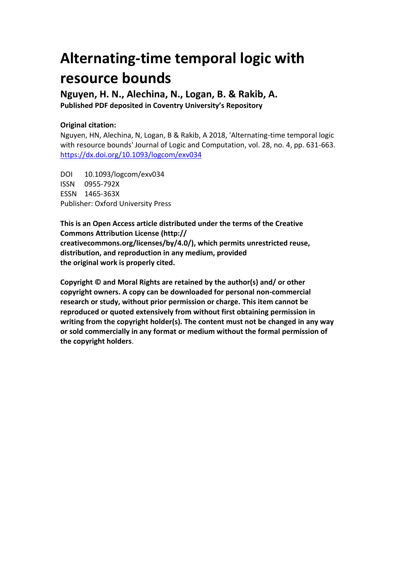# **Alternating-time temporal logic with resource bounds**

# **Nguyen, H. N., Alechina, N., Logan, B. & Rakib, A. Published PDF deposited in Coventry University's Repository**

# **Original citation:**

Nguyen, HN, Alechina, N, Logan, B & Rakib, A 2018, 'Alternating-time temporal logic with resource bounds' Journal of Logic and Computation, vol. 28, no. 4, pp. 631-663. https://dx.doi.org/10.1093/logcom/exv034

DOI 10.1093/logcom/exv034 ISSN 0955-792X ESSN 1465-363X Publisher: Oxford University Press

**This is an Open Access article distributed under the terms of the Creative Commons Attribution License (http:// creativecommons.org/licenses/by/4.0/), which permits unrestricted reuse, distribution, and reproduction in any medium, provided the original work is properly cited.**

**Copyright © and Moral Rights are retained by the author(s) and/ or other copyright owners. A copy can be downloaded for personal non-commercial research or study, without prior permission or charge. This item cannot be reproduced or quoted extensively from without first obtaining permission in writing from the copyright holder(s). The content must not be changed in any way or sold commercially in any format or medium without the formal permission of the copyright holders**.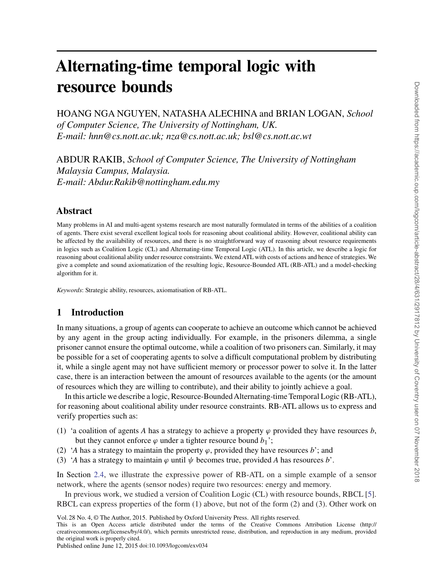# **Alternating-time temporal logic with resource bounds**

HOANG NGA NGUYEN, NATASHA ALECHINA and BRIAN LOGAN, *School of Computer Science, The University of Nottingham, UK. E-mail: hnn@cs.nott.ac.uk; nza@cs.nott.ac.uk; bsl@cs.nott.ac.wt*

ABDUR RAKIB, *School of Computer Science, The University of Nottingham Malaysia Campus, Malaysia. E-mail: Abdur.Rakib@nottingham.edu.my*

# **Abstract**

Many problems in AI and multi-agent systems research are most naturally formulated in terms of the abilities of a coalition of agents. There exist several excellent logical tools for reasoning about coalitional ability. However, coalitional ability can be affected by the availability of resources, and there is no straightforward way of reasoning about resource requirements in logics such as Coalition Logic (CL) and Alternating-time Temporal Logic (ATL). In this article, we describe a logic for reasoning about coalitional ability under resource constraints. We extend ATL with costs of actions and hence of strategies. We give a complete and sound axiomatization of the resulting logic, Resource-Bounded ATL (RB-ATL) and a model-checking algorithm for it.

*Keywords*: Strategic ability, resources, axiomatisation of RB-ATL.

# **1 Introduction**

In many situations, a group of agents can cooperate to achieve an outcome which cannot be achieved by any agent in the group acting individually. For example, in the prisoners dilemma, a single prisoner cannot ensure the optimal outcome, while a coalition of two prisoners can. Similarly, it may be possible for a set of cooperating agents to solve a difficult computational problem by distributing it, while a single agent may not have sufficient memory or processor power to solve it. In the latter case, there is an interaction between the amount of resources available to the agents (or the amount of resources which they are willing to contribute), and their ability to jointly achieve a goal.

In this article we describe a logic, Resource-BoundedAlternating-time Temporal Logic (RB-ATL), for reasoning about coalitional ability under resource constraints. RB-ATL allows us to express and verify properties such as:

- (1) 'a coalition of agents *A* has a strategy to achieve a property  $\varphi$  provided they have resources *b*, but they cannot enforce  $\varphi$  under a tighter resource bound  $b_1$ ';
- (2) '*A* has a strategy to maintain the property  $\varphi$ , provided they have resources *b*'; and
- (3) '*A* has a strategy to maintain  $\varphi$  until  $\psi$  becomes true, provided *A* has resources *b*'.

In Section [2.4,](#page-4-0) we illustrate the expressive power of RB-ATL on a simple example of a sensor network, where the agents (sensor nodes) require two resources: energy and memory.

In previous work, we studied a version of Coalition Logic (CL) with resource bounds, RBCL [\[5](#page-33-0)]. RBCL can express properties of the form (1) above, but not of the form (2) and (3). Other work on

Vol. 28 No. 4. © The Author, 2015. Published by Oxford University Press. All rights reserved. 4

This is an Open Access article distributed under the terms of the Creative Commons Attribution License [\(ht](http://creativecommons.org/licenses/by/3.0/)tp:// creativecommons.org/licenses/by/4.0/), which permits unrestricted reuse, distribution, and reproduction in any medium, provided the original work is properly cited.

Published online June 12, 2015 doi:10.1093/logcom/exv034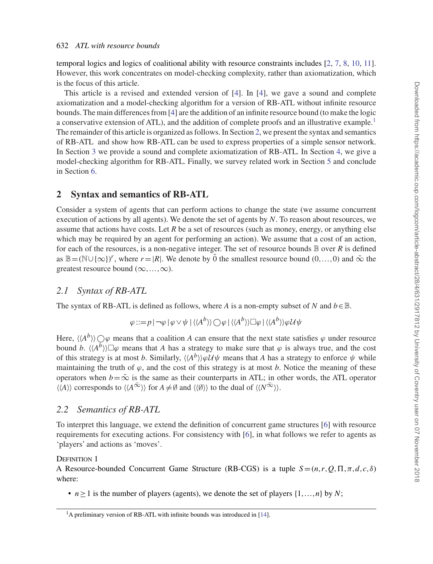temporal logics and logics of coalitional ability with resource constraints includes [\[2](#page-32-0), [7,](#page-33-0) [8,](#page-33-0) [10](#page-33-0), [11\]](#page-33-0). However, this work concentrates on model-checking complexity, rather than axiomatization, which is the focus of this article.

This article is a revised and extended version of [\[4](#page-32-0)]. In [\[4\]](#page-32-0), we gave a sound and complete axiomatization and a model-checking algorithm for a version of RB-ATL without infinite resource bounds. The main differences from [\[4](#page-32-0)] are the addition of an infinite resource bound (to make the logic a conservative extension of ATL), and the addition of complete proofs and an illustrative example.<sup>1</sup> The remainder of this article is organized as follows. In Section 2, we present the syntax and semantics of RB-ATL and show how RB-ATL can be used to express properties of a simple sensor network. In Section [3](#page-5-0) we provide a sound and complete axiomatization of RB-ATL. In Section [4,](#page-29-0) we give a model-checking algorithm for RB-ATL. Finally, we survey related work in Section [5](#page-31-0) and conclude in Section [6.](#page-32-0)

#### **2 Syntax and semantics of RB-ATL**

Consider a system of agents that can perform actions to change the state (we assume concurrent execution of actions by all agents). We denote the set of agents by *N*. To reason about resources, we assume that actions have costs. Let *R* be a set of resources (such as money, energy, or anything else which may be required by an agent for performing an action). We assume that a cost of an action, for each of the resources, is a non-negative integer. The set of resource bounds  $\mathbb B$  over  $R$  is defined as  $\mathbb{B}=(\mathbb{N}\cup\{\infty\})^r$ , where  $r=|R|$ . We denote by  $\overline{0}$  the smallest resource bound  $(0,\ldots,0)$  and  $\overline{\infty}$  the greatest resource bound  $(\infty, ..., \infty)$ .

#### *2.1 Syntax of RB-ATL*

The syntax of RB-ATL is defined as follows, where *A* is a non-empty subset of *N* and  $b \in \mathbb{B}$ .

$$
\varphi ::= p | \neg \varphi | \varphi \vee \psi | \langle \langle A^b \rangle \rangle \bigcirc \varphi | \langle \langle A^b \rangle \rangle \Box \varphi | \langle \langle A^b \rangle \rangle \varphi \mathcal{U} \psi
$$

Here,  $\langle \langle A^b \rangle \rangle$   $\cap \varphi$  means that a coalition *A* can ensure that the next state satisfies  $\varphi$  under resource bound *b*.  $\langle A^b \rangle$   $\Box \varphi$  means that *A* has a strategy to make sure that  $\varphi$  is always true, and the cost of this strategy is at most *b*. Similarly,  $\langle A^b \rangle \omega \mathcal{U} \psi$  means that *A* has a strategy to enforce  $\psi$  while maintaining the truth of  $\varphi$ , and the cost of this strategy is at most *b*. Notice the meaning of these operators when  $b=\overline{\infty}$  is the same as their counterparts in ATL; in other words, the ATL operator  $\langle\langle A \rangle\rangle$  corresponds to  $\langle\langle A^{\bar{\infty}} \rangle\rangle$  for  $A \neq \emptyset$  and  $\langle\langle \emptyset \rangle\rangle$  to the dual of  $\langle\langle N^{\bar{\infty}} \rangle\rangle$ .

### *2.2 Semantics of RB-ATL*

To interpret this language, we extend the definition of concurrent game structures [\[6\]](#page-33-0) with resource requirements for executing actions. For consistency with [\[6\]](#page-33-0), in what follows we refer to agents as 'players' and actions as 'moves'.

#### **DEFINITION 1**

A Resource-bounded Concurrent Game Structure (RB-CGS) is a tuple  $S=(n, r, Q, \Pi, \pi, d, c, \delta)$ where:

•  $n > 1$  is the number of players (agents), we denote the set of players  $\{1, \ldots, n\}$  by *N*;

<sup>&</sup>lt;sup>1</sup>A preliminary version of RB-ATL with infinite bounds was introduced in [\[14](#page-33-0)].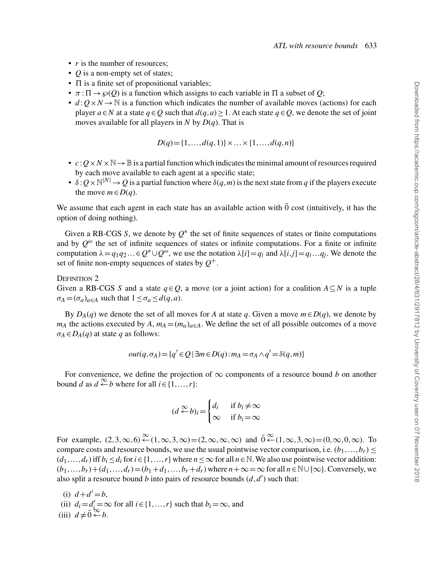- *r* is the number of resources;
- *Q* is a non-empty set of states;
- $\bullet$   $\Pi$  is a finite set of propositional variables;
- $\pi : \Pi \to \wp(Q)$  is a function which assigns to each variable in  $\Pi$  a subset of *Q*;
- $d: Q \times N \to \mathbb{N}$  is a function which indicates the number of available moves (actions) for each player *a*∈*N* at a state *q*∈*Q* such that  $d(q, a)$  > 1. At each state *q* ∈ *Q*, we denote the set of joint moves available for all players in *N* by *D*(*q*). That is

$$
D(q) = \{1, \ldots, d(q, 1)\} \times \ldots \times \{1, \ldots, d(q, n)\}
$$

- $c: Q \times N \times \mathbb{N} \to \mathbb{B}$  is a partial function which indicates the minimal amount of resources required by each move available to each agent at a specific state;
- $\delta: Q \times \mathbb{N}^{|N|} \to Q$  is a partial function where  $\delta(q,m)$  is the next state from *q* if the players execute the move  $m \in D(q)$ .

We assume that each agent in each state has an available action with  $\bar{0}$  cost (intuitively, it has the option of doing nothing).

Given a RB-CGS *S*, we denote by  $Q^*$  the set of finite sequences of states or finite computations and by  $Q^{\omega}$  the set of infinite sequences of states or infinite computations. For a finite or infinite computation  $\lambda = q_1 q_2 ... \in O^* \cup O^{\omega}$ , we use the notation  $\lambda[i] = q_i$  and  $\lambda[i,j] = q_i ... q_i$ . We denote the set of finite non-empty sequences of states by  $Q^+$ .

**DEFINITION 2** 

Given a RB-CGS *S* and a state  $q \in Q$ , a move (or a joint action) for a coalition  $A \subseteq N$  is a tuple  $\sigma_A = (\sigma_a)_{a \in A}$  such that  $1 \leq \sigma_a \leq d(q, a)$ .

By  $D_A(q)$  we denote the set of all moves for *A* at state *q*. Given a move  $m \in D(q)$ , we denote by  $m_A$  the actions executed by *A*,  $m_A = (m_a)_{a \in A}$ . We define the set of all possible outcomes of a move  $\sigma_A \in D_A(q)$  at state *q* as follows:

$$
out(q, \sigma_A) = \{q' \in Q \mid \exists m \in D(q) : m_A = \sigma_A \land q' = \delta(q, m)\}
$$

For convenience, we define the projection of  $\infty$  components of a resource bound *b* on another bound *d* as  $d \stackrel{\infty}{\leftarrow} b$  where for all  $i \in \{1, ..., r\}$ :

$$
(d \stackrel{\infty}{\leftarrow} b)_i = \begin{cases} d_i & \text{if } b_i \neq \infty \\ \infty & \text{if } b_i = \infty \end{cases}
$$

For example,  $(2,3,\infty,6) \stackrel{\infty}{\leftarrow} (1,\infty,3,\infty) = (2,\infty,\infty,\infty)$  and  $\overline{0} \stackrel{\infty}{\leftarrow} (1,\infty,3,\infty) = (0,\infty,0,\infty)$ . To compare costs and resource bounds, we use the usual pointwise vector comparison, i.e.  $(b_1,...,b_r) \leq$  $(d_1, ..., d_r)$  iff  $b_i \leq d_i$  for  $i \in \{1, ..., r\}$  where  $n \leq \infty$  for all  $n \in \mathbb{N}$ . We also use pointwise vector addition:  $(b_1,...,b_r)+(d_1,...,d_r)=(b_1+d_1,...,b_r+d_r)$  where  $n+\infty=\infty$  for all  $n\in\mathbb{N}\cup\{\infty\}$ . Conversely, we also split a resource bound *b* into pairs of resource bounds  $(d, d')$  such that:

(i)  $d+d'=b$ . (ii)  $d_i = d'_i = \infty$  for all  $i \in \{1, ..., r\}$  such that  $b_i = \infty$ , and (iii)  $d \neq \overline{0} \stackrel{\prime \infty}{\leftarrow} b$ .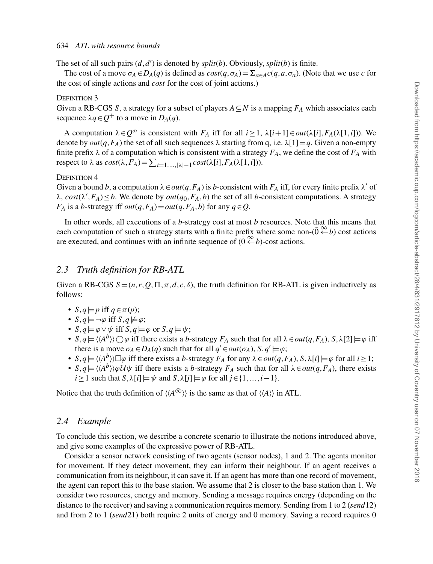<span id="page-4-0"></span>The set of all such pairs  $(d, d')$  is denoted by  $split(b)$ . Obviously,  $split(b)$  is finite.

The cost of a move  $\sigma_A \in D_A(q)$  is defined as  $cost(q, \sigma_A) = \sum_{a \in A} c(q, a, \sigma_a)$ . (Note that we use *c* for the cost of single actions and *cost* for the cost of joint actions.)

**DEFINITION 3** 

Given a RB-CGS *S*, a strategy for a subset of players  $A \subseteq N$  is a mapping  $F_A$  which associates each sequence  $\lambda q \in Q^+$  to a move in  $D_A(q)$ .

A computation  $\lambda \in Q^{\omega}$  is consistent with *F<sub>A</sub>* iff for all  $i \geq 1$ ,  $\lambda[i+1] \in out(\lambda[i], F_A(\lambda[1,i]))$ . We denote by  $out(q, F_A)$  the set of all such sequences  $\lambda$  starting from q, i.e.  $\lambda[1] = q$ . Given a non-empty finite prefix  $\lambda$  of a computation which is consistent with a strategy  $F_A$ , we define the cost of  $F_A$  with respect to  $\lambda$  as  $cost(\lambda, F_A) = \sum_{i=1,\dots,|\lambda|-1} cost(\lambda[i], F_A(\lambda[1,i])).$ 

Given a bound *b*, a computation  $\lambda \in out(q, F_A)$  is *b*-consistent with  $F_A$  iff, for every finite prefix  $\lambda'$  of  $\lambda$ ,  $cost(\lambda', F_A) \leq b$ . We denote by  $out(q_0, F_A, b)$  the set of all *b*-consistent computations. A strategy *F<sub>A</sub>* is a *b*-strategy iff *out*( $q$ ,*F<sub>A</sub>*)=*out*( $q$ ,*F<sub>A</sub>*,*b*) for any  $q \in Q$ .

In other words, all executions of a *b*-strategy cost at most *b* resources. Note that this means that each computation of such a strategy starts with a finite prefix where some non-( $\overline{0} \stackrel{\infty}{\leftarrow} b$ ) cost actions are executed, and continues with an infinite sequence of  $(\overline{0} \stackrel{\infty}{\leftarrow} b)$ -cost actions.

### *2.3 Truth definition for RB-ATL*

Given a RB-CGS  $S = (n, r, Q, \Pi, \pi, d, c, \delta)$ , the truth definition for RB-ATL is given inductively as follows:

- $S, q \models p$  iff  $q \in \pi(p)$ ;
- $S, q \models \neg \varphi$  iff  $S, q \not\models \varphi;$
- $S, q \models \varphi \lor \psi$  iff  $S, q \models \varphi$  or  $S, q \models \psi$ ;
- *S*, $q \models \langle \langle A^b \rangle \rangle \bigcirc \varphi$  iff there exists a *b*-strategy  $F_A$  such that for all  $\lambda \in out(q, F_A), S, \lambda[2] \models \varphi$  iff there is a move  $\sigma_A \in D_A(q)$  such that for all  $q' \in out(\sigma_A)$ ,  $S, q' \models \varphi$ ;
- $\bullet$  *S*, *q*  $\models$   $\langle \langle A^b \rangle \rangle \Box \varphi$  iff there exists a *b*-strategy *F<sub>A</sub>* for any  $\lambda \in out(q, F_A)$ , *S*,  $\lambda[i] \models \varphi$  for all *i* ≥ 1;
- *S*,  $q \models \langle \langle A^b \rangle \rangle \varphi \mathcal{U} \psi$  iff there exists a *b*-strategy  $F_A$  such that for all  $\lambda \in out(q, F_A)$ , there exists  $i \geq 1$  such that  $S$ ,  $\lambda[i] \models \psi$  and  $S$ ,  $\lambda[j] \models \varphi$  for all  $j \in \{1, ..., i-1\}$ .

Notice that the truth definition of  $\langle A^{\infty} \rangle$  is the same as that of  $\langle A \rangle$  in ATL.

### *2.4 Example*

To conclude this section, we describe a concrete scenario to illustrate the notions introduced above, and give some examples of the expressive power of RB-ATL.

Consider a sensor network consisting of two agents (sensor nodes), 1 and 2. The agents monitor for movement. If they detect movement, they can inform their neighbour. If an agent receives a communication from its neighbour, it can save it. If an agent has more than one record of movement, the agent can report this to the base station. We assume that 2 is closer to the base station than 1. We consider two resources, energy and memory. Sending a message requires energy (depending on the distance to the receiver) and saving a communication requires memory. Sending from 1 to 2 (*send*12) and from 2 to 1 (*send*21) both require 2 units of energy and 0 memory. Saving a record requires 0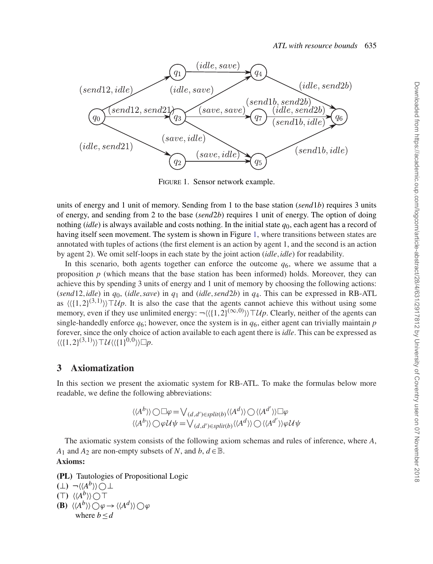<span id="page-5-0"></span>

Figure 1. Sensor network example.

units of energy and 1 unit of memory. Sending from 1 to the base station (*send*1*b*) requires 3 units of energy, and sending from 2 to the base (*send*2*b*) requires 1 unit of energy. The option of doing nothing *(idle)* is always available and costs nothing. In the initial state  $q_0$ , each agent has a record of having itself seen movement. The system is shown in Figure 1, where transitions between states are annotated with tuples of actions (the first element is an action by agent 1, and the second is an action by agent 2). We omit self-loops in each state by the joint action (*idle*,*idle*) for readability.

In this scenario, both agents together can enforce the outcome  $q<sub>6</sub>$ , where we assume that a proposition  $p$  (which means that the base station has been informed) holds. Moreover, they can achieve this by spending 3 units of energy and 1 unit of memory by choosing the following actions: (*send*12,*idle*) in *q*0, (*idle*,*save*) in *q*1 and (*idle*,*send*2*b*) in *q*4. This can be expressed in RB-ATL as  $\langle \langle \{1,2\}^{(3,1)} \rangle \rangle \top \mathcal{U} \mathcal{P}$ . It is also the case that the agents cannot achieve this without using some memory, even if they use unlimited energy:  $\neg \langle \langle 1, 2 \rangle^{(\infty,0)} \rangle \uparrow \mathcal{U}_p$ . Clearly, neither of the agents can single-handedly enforce *q*6; however, once the system is in *q*6, either agent can trivially maintain *p* forever, since the only choice of action available to each agent there is *idle*. This can be expressed as  $\langle \langle \{1,2\}^{(3,1)} \rangle \rangle \top \mathcal{U} \langle \langle \{1\}^{0,0} \rangle \rangle \square p.$ 

### **3 Axiomatization**

In this section we present the axiomatic system for RB-ATL. To make the formulas below more readable, we define the following abbreviations:

$$
\langle \langle A^b \rangle \rangle \bigcirc \Box \varphi = \bigvee_{(d,d') \in split(b)} \langle \langle A^d \rangle \rangle \bigcirc \langle \langle A^{d'} \rangle \rangle \Box \varphi
$$
  

$$
\langle \langle A^b \rangle \rangle \bigcirc \varphi \mathcal{U} \psi = \bigvee_{(d,d') \in split(b)} \langle \langle A^d \rangle \rangle \bigcirc \langle \langle A^{d'} \rangle \rangle \varphi \mathcal{U} \psi
$$

The axiomatic system consists of the following axiom schemas and rules of inference, where *A*, *A*<sub>1</sub> and *A*<sub>2</sub> are non-empty subsets of *N*, and *b*,  $d \in \mathbb{B}$ . **Axioms:**

- **(PL)** Tautologies of Propositional Logic  $(\perp)$  ¬ $\langle\langle A^b \rangle\rangle$   $\cap$   $\perp$  $(T)$   $\langle\langle A^b \rangle\rangle \cap T$ **(B)**  $\langle \langle A^b \rangle \rangle \bigcirc \varphi \rightarrow \langle \langle A^d \rangle \rangle \bigcirc \varphi$
- where  $b < d$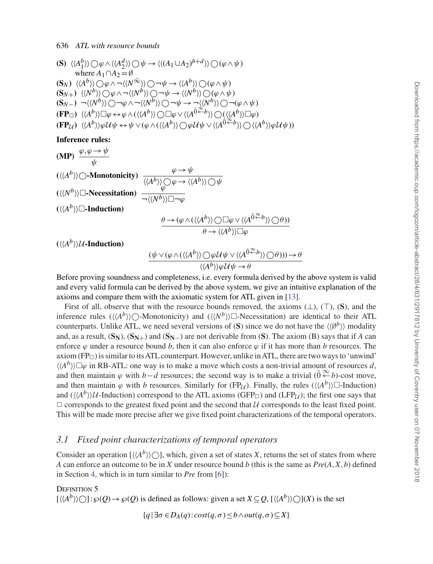(S) 
$$
\langle \langle A_1^b \rangle \rangle \bigcirc \varphi \wedge \langle \langle A_2^d \rangle \rangle \bigcirc \psi \rightarrow \langle \langle (A_1 \cup A_2)^{b+d} \rangle \rangle \bigcirc (\varphi \wedge \psi)
$$
  
\nwhere  $A_1 \cap A_2 = \emptyset$   
\n(S<sub>N</sub>)  $\langle \langle A^b \rangle \rangle \bigcirc \varphi \wedge \neg \langle \langle N^{\bar{\infty}} \rangle \rangle \bigcirc \neg \psi \rightarrow \langle \langle A^b \rangle \rangle \bigcirc (\varphi \wedge \psi)$   
\n(S<sub>N+1</sub>)  $\langle \langle N^b \rangle \rangle \bigcirc \varphi \wedge \neg \langle \langle N^b \rangle \rangle \bigcirc \neg \psi \rightarrow \langle \langle N^b \rangle \rangle \bigcirc (\varphi \wedge \psi)$   
\n(S<sub>N-1</sub>)  $\neg \langle \langle N^b \rangle \rangle \bigcirc \neg \varphi \wedge \neg \langle \langle N^b \rangle \rangle \bigcirc \neg \psi \rightarrow \neg \langle \langle N^b \rangle \rangle \bigcirc \neg (\varphi \wedge \psi)$   
\n(FP<sub>□</sub>)  $\langle \langle A^b \rangle \rangle \square \varphi \leftrightarrow \varphi \wedge (\langle \langle A^b \rangle \rangle \bigcirc \square \varphi \vee \langle \langle A^{\bar{0}} \stackrel{\approx}{\sim} b \rangle \rangle \bigcirc (\langle \langle A^b \rangle \rangle \square \varphi)$   
\n(FP<sub>U</sub>)  $\langle \langle A^b \rangle \rangle \varphi \mathcal{U} \psi \leftrightarrow \psi \vee (\varphi \wedge (\langle \langle A^b \rangle \rangle \bigcirc \varphi \mathcal{U} \psi \vee \langle \langle A^{\bar{0}} \stackrel{\approx}{\sim} b \rangle \rangle \bigcirc (\langle A^b \rangle \varphi \mathcal{U} \psi)$ )

#### **Inference rules:**

$$
\begin{array}{ll}\n\textbf{(MP)} & \frac{\varphi, \varphi \to \psi}{\psi} \\
\textbf{(}\langle\langle A^b \rangle\rangle \bigcirc \textbf{-Monotonicity}) & \frac{\varphi \to \psi}{\langle\langle A^b \rangle\rangle \bigcirc \varphi \to \langle\langle A^b \rangle\rangle \bigcirc \psi} \\
\textbf{(}\langle\langle N^b \rangle\rangle \Box \textbf{-Necessitation}) & \frac{\varphi}{\neg \langle\langle N^b \rangle\rangle \Box \neg \varphi} \\
\textbf{(}\langle\langle A^b \rangle\rangle \Box \textbf{-Induction}) & \frac{\theta \to (\varphi \land (\langle\langle A^b \rangle\rangle \bigcirc \Box \varphi \lor \langle\langle A^{\bar{0}} \stackrel{\infty}{\leftarrow} b \rangle\rangle \bigcirc \theta))}{\langle\langle A^{\bar{0}} \stackrel{\infty}{\leftarrow} b \rangle\rangle \bigcirc \varphi \land \langle\langle A^{\bar{0}} \stackrel{\infty}{\leftarrow} b \rangle\rangle \bigcirc \varphi \land \langle\langle A^{\bar{0}} \stackrel{\infty}{\leftarrow} b \rangle\rangle \bigcirc \varphi \land \langle\langle A^{\bar{0}} \stackrel{\infty}{\leftarrow} b \rangle\rangle \bigcirc \varphi \land \langle\langle A^{\bar{0}} \stackrel{\infty}{\leftarrow} b \rangle\rangle \bigcirc \varphi \land \langle\langle A^{\bar{0}} \stackrel{\infty}{\leftarrow} b \rangle\rangle \bigcirc \varphi \land \langle\langle A^{\bar{0}} \stackrel{\infty}{\leftarrow} b \rangle\rangle \bigcirc \varphi \land \langle\langle A^{\bar{0}} \stackrel{\infty}{\leftarrow} b \rangle\rangle \bigcirc \varphi \land \langle\langle A^{\bar{0}} \stackrel{\infty}{\leftarrow} b \rangle\rangle \bigcirc \varphi \land \langle\langle A^{\bar{0}} \stackrel{\infty}{\leftarrow} b \rangle\rangle \bigcirc \varphi \land \langle\langle A^{\bar{0}} \stackrel{\infty}{\leftarrow} b \rangle\rangle \bigcirc \varphi \land \langle\langle A^{\bar{0}} \stackrel{\infty}{\leftarrow} b \rangle\rangle \bigcirc \varphi \land \langle\langle A^{\bar{0}} \stackrel{\infty}{\leftarrow} b \rangle\rangle \bigcirc \varphi \land \langle\langle A^{\bar{0}} \stackrel{\infty}{\leftarrow} b \rangle\rangle \bigcirc \varphi \land \langle\langle A^{\bar{
$$

 $(\langle \langle A^b \rangle \rangle \mathcal{U}$ -Induction)

$$
\frac{(\psi \vee (\varphi \wedge (\langle \langle A^{b} \rangle \rangle \bigcirc \varphi \mathcal{U} \psi \vee \langle \langle A^{\overline{0}} \stackrel{\infty}{\leftarrow} b \rangle \rangle \bigcirc \theta))) \rightarrow \theta}{\langle \langle A^{b} \rangle \rangle \varphi \mathcal{U} \psi \rightarrow \theta}
$$

 $\theta \rightarrow \langle \langle A^b \rangle \rangle \Box \varphi$ 

Before proving soundness and completeness, i.e. every formula derived by the above system is valid and every valid formula can be derived by the above system, we give an intuitive explanation of the axioms and compare them with the axiomatic system for ATL given in [\[13](#page-33-0)].

First of all, observe that with the resource bounds removed, the axioms  $(\perp)$ ,  $(\top)$ ,  $(S)$ , and the inference rules ( $\langle \langle A^b \rangle \rangle$ )–Monotonicity) and ( $\langle \langle N^b \rangle \rangle$  -Necessitation) are identical to their ATL counterparts. Unlike ATL, we need several versions of (S) since we do not have the  $\langle \langle \emptyset^b \rangle \rangle$  modality and, as a result,  $(S_N)$ ,  $(S_{N+})$  and  $(S_{N-})$  are not derivable from (S). The axiom (B) says that if *A* can enforce  $\varphi$  under a resource bound *b*, then it can also enforce  $\varphi$  if it has more than *b* resources. The axiom ( $FP_{\Box}$ ) is similar to its ATL counterpart. However, unlike in ATL, there are two ways to 'unwind'  $\langle \langle A^b \rangle \rangle$   $\Box \varphi$  in RB-ATL: one way is to make a move which costs a non-trivial amount of resources *d*, and then maintain  $\varphi$  with *b*−*d* resources; the second way is to make a trivial ( $\overline{0} \stackrel{\infty}{\leftarrow} b$ )-cost move, and then maintain  $\varphi$  with *b* resources. Similarly for (FP<sub>U</sub>). Finally, the rules ( $\langle \langle A^b \rangle \rangle$  -Induction) and  $(\langle A^b \rangle)U$ -Induction) correspond to the ATL axioms (GFP $_{\Box}$ ) and (LFP<sub>U</sub>); the first one says that  $\Box$  corresponds to the greatest fixed point and the second that  $U$  corresponds to the least fixed point. This will be made more precise after we give fixed point characterizations of the temporal operators.

## *3.1 Fixed point characterizations of temporal operators*

Consider an operation  $[\langle \langle A^b \rangle \rangle]$ , which, given a set of states *X*, returns the set of states from where *A* can enforce an outcome to be in *X* under resource bound *b* (this is the same as *Pre*(*A*,*X*,*b*) defined in Section [4,](#page-29-0) which is in turn similar to *Pre* from [\[6](#page-33-0)]):

 $[\langle\langle A^b \rangle\rangle \bigcirc] : \wp(Q) \rightarrow \wp(Q)$  is defined as follows: given a set  $X \subseteq Q$ ,  $[\langle\langle A^b \rangle\rangle \bigcirc](X)$  is the set {*q* | ∃σ ∈*DA*(*q*): *cost*(*q*,σ)≤*b*∧*out*(*q*,σ)⊆*X*}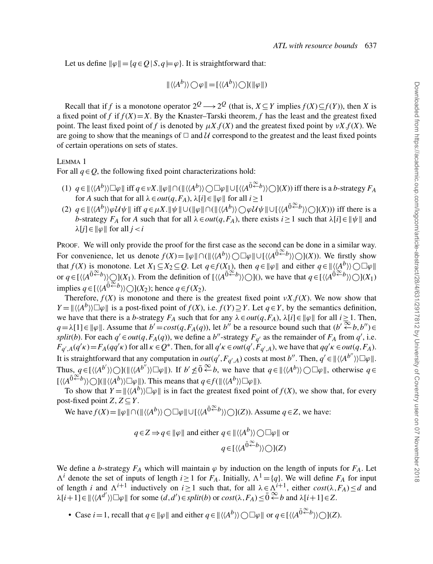<span id="page-7-0"></span>Let us define  $\|\varphi\| = \{q \in Q | S, q \models \varphi\}$ . It is straightforward that:

$$
\langle \langle A^b \rangle \rangle \bigcirc \varphi \langle = [\langle \langle A^b \rangle \rangle \bigcirc ] (\|\varphi\|)
$$

Recall that if *f* is a monotone operator  $2^{\mathcal{Q}} \longrightarrow 2^{\mathcal{Q}}$  (that is,  $X \subseteq Y$  implies  $f(X) \subseteq f(Y)$ ), then *X* is a fixed point of *f* if  $f(X) = X$ . By the Knaster–Tarski theorem, *f* has the least and the greatest fixed point. The least fixed point of *f* is denoted by  $\mu X.f(X)$  and the greatest fixed point by  $\nu X.f(X)$ . We are going to show that the meanings of  $\Box$  and U correspond to the greatest and the least fixed points of certain operations on sets of states.

For all  $q \in Q$ , the following fixed point characterizations hold:

- (1)  $q \in ||\langle \langle A^b \rangle \rangle \Box \varphi ||$  iff  $q \in \nu X$ .  $||\varphi|| \cap (||\langle \langle A^b \rangle \rangle \bigcirc \Box \varphi || \cup [\langle \langle A^{\overline{0}} \stackrel{\infty}{\leftarrow} b \rangle \rangle \bigcirc](X))$  iff there is a *b*-strategy  $F_A$ for *A* such that for all  $\lambda \in out(q, F_A)$ ,  $\lambda[i] \in ||\varphi||$  for all  $i \ge 1$
- (2)  $q \in \left\{ \langle \langle A^b \rangle \rangle \varphi \mathcal{U} \psi \right\}$  iff  $q \in \mu X$ .  $\left\| \psi \right\| \cup (\left\| \varphi \right\| \cap (\left\| \langle \langle A^b \rangle \rangle \bigcirc \varphi \mathcal{U} \psi \right\| \cup (\left\| \langle \langle A^{\overline{0}} \stackrel{\sim}{\leftarrow} b \rangle \rangle \bigcirc)(X))$  iff there is a *b*-strategy  $F_A$  for *A* such that for all  $\lambda \in out(q, F_A)$ , there exists  $i \geq 1$  such that  $\lambda[i] \in ||\psi||$  and  $λ[j] ∈ ∥$ *ϕ*|| for all *j* < *i*

Proof. We will only provide the proof for the first case as the second can be done in a similar way. For convenience, let us denote  $f(X) = ||\varphi|| \cap (||\langle\langle A^{b}\rangle\rangle \bigcirc \Box \varphi|| \cup [\langle\langle A^{\overline{0}}\rangle^{\mathbb{Z}} b\rangle\rangle \bigcirc (|X\rangle)).$  We firstly show that *f*(*X*) is monotone. Let  $X_1 \subseteq X_2 \subseteq Q$ . Let  $q \in f(X_1)$ , then  $q \in ||\varphi||$  and either  $q \in ||\langle A^b \rangle \rangle \bigcirc \Box \varphi||$ or  $q \in [\langle A^{0\omega}(B^{\omega} \to B) \rangle \text{ and } B^{\omega}(B^{\omega} \to B) \text{ and } C^{\omega}(B^{\omega} \to B) \text{ and } D^{\omega}(B^{\omega} \to B) \text{ and } D^{\omega}(B^{\omega} \to B) \text{ and } D^{\omega}(B^{\omega} \to B) \text{ and } D^{\omega}(B^{\omega} \to B) \text{ and } D^{\omega}(B^{\omega} \to B) \text{ and } D^{\omega}(B^{\omega} \to B) \text{ and } D^{\omega}(B^{\omega} \to B) \text{ and } D^{\omega}(B^{\omega} \to B) \text{ and }$ implies  $q \in [\langle \langle A^{0} \rangle^{\otimes n} \rangle \rangle \bigcirc (X_2)$ ; hence  $q \in f(X_2)$ .

Therefore,  $f(X)$  is monotone and there is the greatest fixed point  $\nu X.f(X)$ . We now show that *Y* =  $\| \langle \langle A^b \rangle \rangle$  □ $\varphi \|$  is a post-fixed point of *f*(*X*), i.e. *f*(*Y*) ≥ *Y*. Let *q* ∈ *Y*, by the semantics definition, we have that there is a *b*-strategy  $F_A$  such that for any  $\lambda \in out(q, F_A)$ ,  $\lambda[i] \in ||\varphi||$  for all  $i \ge 1$ . Then,  $q = \lambda[1] \in ||\varphi||$ . Assume that  $b' = cost(q, F_A(q))$ , let  $b''$  be a resource bound such that  $(b' \in b, b'') \in$ *split*(*b*). For each  $q' \in out(q, F_A(q))$ , we define a *b*''-strategy  $F_{q'}$  as the remainder of  $F_A$  from  $q'$ , i.e.  $F_{q',A}(q'k) = F_A(qq'k)$  for all  $k \in Q^*$ . Then, for all  $q'k \in out(q', F_{q',A})$ , we have that  $qq'k \in out(q, F_A)$ . It is straightforward that any computation in *out*(*q'*,  $F_{q',A}$ ) costs at most *b''*. Then,  $q' \in ||\langle\langle A^{b''}\rangle\rangle \Box \varphi||$ . Thus,  $q \in [\langle \langle A^{b'} \rangle \rangle \cap \langle \langle A^{b''} \rangle \rangle \square \varphi \|]$ . If  $b' \nleq \overline{0} \stackrel{\infty}{\leftarrow} b$ , we have that  $q \in [\langle \langle A^{b} \rangle \rangle \cap \square \varphi]$ , otherwise  $q \in \mathbb{R}$  $\mu(A^{\overline{0}} \stackrel{\sim}{\leftrightarrow} \theta) \cap \Pi(\langle A^b \rangle) \square \varphi \|$ . This means that  $q \in f(\langle \langle A^b \rangle \rangle \square \varphi \|)$ .

To show that  $Y = ||\langle \langle A^b \rangle \rangle \Box \varphi||$  is in fact the greatest fixed point of  $f(X)$ , we show that, for every post-fixed point  $Z, Z \subseteq Y$ .

We have  $f(X) = ||\varphi|| \cap (||\langle \langle A^b \rangle \rangle \bigcirc \Box \varphi|| \cup [\langle \langle A^{\overline{0}} \rangle \rangle \bigcirc \Box Z)$ ). Assume  $q \in Z$ , we have:

$$
q \in Z \Rightarrow q \in ||\varphi||
$$
 and either  $q \in ||\langle\langle A^b \rangle\rangle \bigcirc \Box \varphi||$  or  
 $q \in [\langle\langle A^{\overline{0}} \stackrel{\infty}{\longleftrightarrow} b \rangle\rangle \bigcirc \Box Z)$ 

We define a *b*-strategy  $F_A$  which will maintain  $\varphi$  by induction on the length of inputs for  $F_A$ . Let  $\Lambda^i$  denote the set of inputs of length *i* ≥ 1 for *F<sub>A</sub>*. Initially,  $\Lambda^1 = \{q\}$ . We will define *F<sub>A</sub>* for input of length *i* and  $\Lambda^{i+1}$  inductively on  $i \ge 1$  such that, for all  $\lambda \in \Lambda^{i+1}$ , either  $cost(\lambda, F_A) \le d$  and  $\lambda[i+1] \in \left\| \langle \langle A^{d'} \rangle \rangle \Box \varphi \right\|$  for some  $(d, d') \in split(b)$  or  $cost(\lambda, F_A) \leq 0 \stackrel{\infty}{\leftarrow} b$  and  $\lambda[i+1] \in \mathbb{Z}$ .

• Case *i* = 1, recall that  $q \in ||\varphi||$  and either  $q \in ||\langle\langle A^b \rangle\rangle \bigcirc \Box \varphi||$  or  $q \in [\langle\langle A^{\overline{0}} \stackrel{\infty}{\leftarrow} b \rangle\rangle \bigcirc \langle Z$ ).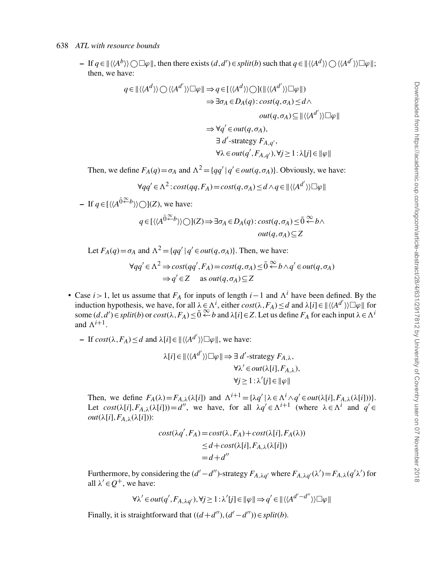$\Box$  **1f**  $q \in \{(\langle A^b \rangle) \bigcirc \Box \varphi \|$ , then there exists  $(d, d') \in split(b)$  such that  $q \in \{(\langle A^d \rangle) \bigcirc \langle \langle A^{d'} \rangle \rangle \Box \varphi \|$ ; then, we have:

$$
q \in ||\langle A^d \rangle\rangle \bigcirc \langle \langle A^{d'} \rangle\rangle \square \varphi || \Rightarrow q \in [\langle \langle A^d \rangle \rangle \bigcirc ](\langle \langle A^{d'} \rangle \rangle \square \varphi ||)
$$
  
\n
$$
\Rightarrow \exists \sigma_A \in D_A(q) : cost(q, \sigma_A) \leq d \land
$$
  
\n
$$
out(q, \sigma_A) \subseteq ||\langle \langle A^{d'} \rangle \rangle \square \varphi ||
$$
  
\n
$$
\Rightarrow \forall q' \in out(q, \sigma_A),
$$
  
\n
$$
\exists d' \text{-strategy } F_{A,q'},
$$
  
\n
$$
\forall \lambda \in out(q', F_{A,q'}) , \forall j \geq 1 : \lambda[j] \in ||\varphi||
$$

Then, we define  $F_A(q) = \sigma_A$  and  $\Lambda^2 = \{qq' \mid q' \in out(q, \sigma_A)\}\)$ . Obviously, we have:

 $\forall q q' \in \Lambda^2 : cost(qq, F_A) = cost(q, \sigma_A) \leq d \land q \in || \langle \langle A^{d'} \rangle \rangle \Box \varphi ||$ 

**−** If  $q \in [\langle \langle A^{0} \stackrel{\infty}{\leftarrow} b \rangle \rangle \bigcirc ](Z)$ , we have:

$$
q \in [\langle A^{\overline{0}} \stackrel{\infty}{\leftarrow} b \rangle] \cap J(Z) \Rightarrow \exists \sigma_A \in D_A(q) : cost(q, \sigma_A) \leq \overline{0} \stackrel{\infty}{\leftarrow} b \land out(q, \sigma_A) \subseteq Z
$$

Let  $F_A(q) = \sigma_A$  and  $\Lambda^2 = \{qq' \mid q' \in out(q, \sigma_A)\}\)$ . Then, we have:  $\forall qq' \in \Lambda^2 \Rightarrow cost(qq', F_A) = cost(q, \sigma_A) \leq \overline{0} \stackrel{\infty}{\leftarrow} b \wedge q' \in out(q, \sigma_A)$  $\Rightarrow$  *q'*  $\in$  *Z* as *out*(*q*,  $\sigma$ <sub>*A*</sub>)</sub> $\subseteq$  *Z* 

- Case *i* > 1, let us assume that  $F_A$  for inputs of length *i* − 1 and  $\Lambda^i$  have been defined. By the induction hypothesis, we have, for all  $\lambda \in \Lambda^i$ , either  $cost(\lambda, F_A) \leq d$  and  $\lambda[i] \in ||\langle \langle A^{d'} \rangle \rangle \Box \varphi||$  for some  $(d, d') \in split(b)$  or  $cost(\lambda, F_A) \leq \overline{0} \overset{\infty}{\leftarrow} b$  and  $\lambda[i] \in Z$ . Let us define  $F_A$  for each input  $\lambda \in \Lambda^i$ and  $\Lambda^{i+1}$ .
	- $\vert \text{F} \text{cost}(\lambda, F_A) \leq d \text{ and } \lambda[i] \in || \langle \langle A^{d'} \rangle \rangle || \varphi ||$ , we have:

$$
\lambda[i] \in ||\langle A^{d'} \rangle\rangle \square \varphi || \Rightarrow \exists d' \text{-strategy } F_{A,\lambda},
$$

$$
\forall \lambda' \in out(\lambda[i], F_{A,\lambda}),
$$

$$
\forall j \ge 1 : \lambda'[j] \in ||\varphi||
$$

Then, we define  $F_A(\lambda) = F_{A,\lambda}(\lambda[i])$  and  $\Lambda^{i+1} = {\lambda q' | \lambda \in \Lambda^i \land q' \in out(\lambda[i], F_{A,\lambda}(\lambda[i]))}.$ Let  $cost(\lambda[i], F_{A\lambda}(\lambda[i])) = d''$ , we have, for all  $\lambda q' \in \Lambda^{i+1}$  (where  $\lambda \in \Lambda^i$  and  $q' \in$ *out*(λ[*i*],  $F_{A,λ}(λ[i])$ ):

$$
cost(\lambda q', F_A) = cost(\lambda, F_A) + cost(\lambda[i], F_A(\lambda))
$$
  
\n
$$
\leq d + cost(\lambda[i], F_{A,\lambda}(\lambda[i]))
$$
  
\n
$$
= d + d''
$$

Furthermore, by considering the  $(d'-d'')$ -strategy  $F_{A,\lambda q'}$  where  $F_{A,\lambda q'}(\lambda') = F_{A,\lambda}(q'\lambda')$  for all  $\lambda' \in O^+$ , we have:

$$
\forall \lambda' \in out(q', F_{A, \lambda q'}), \forall j \geq 1 : \lambda'[j] \in ||\varphi|| \Rightarrow q' \in ||\langle \langle A^{d'-d''} \rangle \rangle \Box \varphi||
$$

−*d*

Finally, it is straightforward that  $((d+d''),(d'-d'')) \in split(b)$ .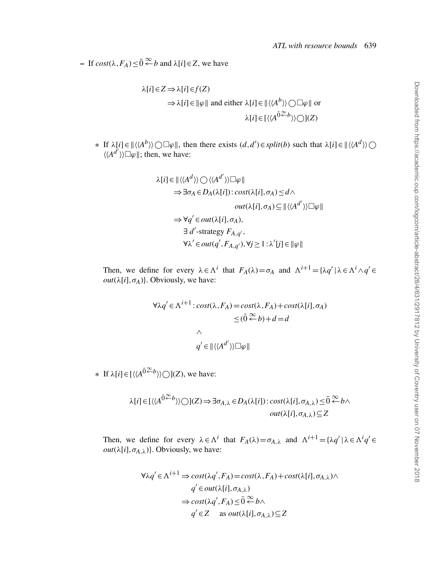$\overline{P}$  If *cost*(λ,*F<sub>A</sub>*)≤ $\overline{0}$   $\xi$   $\stackrel{\infty}{\sim} b$  and  $\lambda[i] \in \mathbb{Z}$ , we have

$$
\lambda[i] \in Z \Rightarrow \lambda[i] \in f(Z)
$$
  
\n
$$
\Rightarrow \lambda[i] \in ||\varphi|| \text{ and either } \lambda[i] \in ||\langle\langle A^{b}\rangle\rangle \bigcirc \Box \varphi|| \text{ or}
$$
  
\n
$$
\lambda[i] \in [\langle\langle A^{\overline{0}}\rangle\angle\rangle\bigcirc](Z)
$$

 $\forall$  If  $\lambda[i] \in \{ \langle \langle A^b \rangle \rangle \bigcirc \Box \varphi \}$ , then there exists  $(d, d') \in split(b)$  such that  $\lambda[i] \in \{ \langle \langle A^d \rangle \rangle \bigcirc \Box \varphi \}$  $\langle \langle A^{d'} \rangle \rangle \Box \varphi \|$ ; then, we have:

$$
\lambda[i] \in ||\langle A^d \rangle \rangle \bigcirc \langle A^{d'} \rangle \square \varphi ||
$$
  
\n
$$
\Rightarrow \exists \sigma_A \in D_A(\lambda[i]) : cost(\lambda[i], \sigma_A) \le d \land
$$
  
\n
$$
out(\lambda[i], \sigma_A) \subseteq ||\langle A^{d'} \rangle \square \varphi ||
$$
  
\n
$$
\Rightarrow \forall q' \in out(\lambda[i], \sigma_A),
$$
  
\n
$$
\exists d' \text{-strategy } F_{A,q'},
$$
  
\n
$$
\forall \lambda' \in out(q', F_{A,q'}) , \forall j \ge 1 : \lambda'[j] \in ||\varphi||
$$

Then, we define for every  $\lambda \in \Lambda^i$  that  $F_A(\lambda) = \sigma_A$  and  $\Lambda^{i+1} = {\lambda q' | \lambda \in \Lambda^i \wedge q' \in \Lambda^i}$  $out(\lambda[i], \sigma_A)$ . Obviously, we have:

$$
\forall \lambda q' \in \Lambda^{i+1} : cost(\lambda, F_A) = cost(\lambda, F_A) + cost(\lambda[i], \sigma_A)
$$
  
\n
$$
\leq (\overline{0} \stackrel{\infty}{\leftarrow} b) + d = d
$$
  
\n
$$
\wedge
$$
  
\n
$$
q' \in ||\langle A^{d'} \rangle\rangle \Box \varphi ||
$$

 $\ast$  If  $\lambda[i] \in [\langle \langle A^{0} \stackrel{\infty}{\leftarrow} b \rangle \rangle \bigcirc](Z)$ , we have:

$$
\lambda[i] \in [\langle\langle A^{\overline{0}} \stackrel{\infty}{\leftarrow} b \rangle\rangle \bigcirc](Z) \Rightarrow \exists \sigma_{A,\lambda} \in D_A(\lambda[i]) : cost(\lambda[i], \sigma_{A,\lambda}) \leq \overline{0} \stackrel{\infty}{\leftarrow} b \wedge out(\lambda[i], \sigma_{A,\lambda}) \subseteq Z
$$

Then, we define for every  $\lambda \in \Lambda^i$  that  $F_A(\lambda) = \sigma_{A,\lambda}$  and  $\Lambda^{i+1} = {\lambda q' | \lambda \in \Lambda^i q' \in \Lambda^i}$ *out*( $\lambda[i], \sigma_{A,\lambda}$ )}. Obviously, we have:

$$
\forall \lambda q' \in \Lambda^{i+1} \Rightarrow cost(\lambda q', F_A) = cost(\lambda, F_A) + cost(\lambda[i], \sigma_{A,\lambda}) \land q' \in out(\lambda[i], \sigma_{A,\lambda}) \Rightarrow cost(\lambda q', F_A) \leq \overline{0} \stackrel{\infty}{\leftarrow} b \land q' \in Z \text{ as } out(\lambda[i], \sigma_{A,\lambda}) \subseteq Z
$$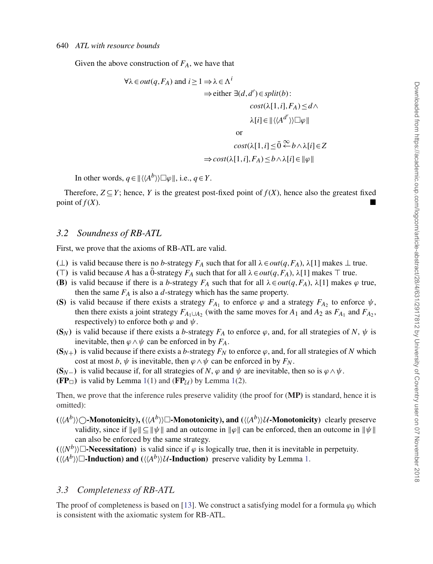Given the above construction of  $F_A$ , we have that

$$
\forall \lambda \in out(q, F_A) \text{ and } i \ge 1 \Rightarrow \lambda \in \Lambda^i
$$
  
\n
$$
\Rightarrow \text{either } \exists (d, d') \in split(b):
$$
  
\n
$$
cost(\lambda[1, i], F_A) \le d \land
$$
  
\n
$$
\lambda[i] \in || \langle \langle A^{d'} \rangle \rangle \Box \varphi ||
$$
  
\nor  
\n
$$
cost(\lambda[1, i] \le \overline{0} \stackrel{\infty}{\leftarrow} b \land \lambda[i] \in \mathbb{Z})
$$
  
\n
$$
\Rightarrow cost(\lambda[1, i], F_A) \le b \land \lambda[i] \in ||\varphi||
$$

In other words,  $q \in ||\langle \langle A^b \rangle \rangle \Box \varphi ||$ , i.e.,  $q \in Y$ .

Therefore,  $Z \subseteq Y$ ; hence, *Y* is the greatest post-fixed point of  $f(X)$ , hence also the greatest fixed point of  $f(X)$ .

#### *3.2 Soundness of RB-ATL*

First, we prove that the axioms of RB-ATL are valid.

- **(**⊥**)** is valid because there is no *b*-strategy *FA* such that for all λ∈*out*(*q*,*FA*), λ[1] makes ⊥ true.
- ( $\top$ ) is valid because *A* has a  $\overline{0}$ -strategy  $F_A$  such that for all  $\lambda \in out(q, F_A)$ ,  $\lambda[1]$  makes  $\top$  true.
- **(B)** is valid because if there is a *b*-strategy  $F_A$  such that for all  $\lambda \in out(q, F_A)$ ,  $\lambda[1]$  makes  $\varphi$  true, then the same *FA* is also a *d*-strategy which has the same property.
- **(S)** is valid because if there exists a strategy  $F_{A_1}$  to enforce  $\varphi$  and a strategy  $F_{A_2}$  to enforce  $\psi$ , then there exists a joint strategy  $F_{A_1 \cup A_2}$  (with the same moves for  $A_1$  and  $A_2$  as  $F_{A_1}$  and  $F_{A_2}$ , respectively) to enforce both  $\varphi$  and  $\psi$ .
- **(S**<sub>*N*</sub>) is valid because if there exists a *b*-strategy  $F_A$  to enforce  $\varphi$ , and, for all strategies of *N*,  $\psi$  is inevitable, then  $\varphi \wedge \psi$  can be enforced in by  $F_A$ .
- $(S_{N+})$  is valid because if there exists a *b*-strategy  $F_N$  to enforce  $\varphi$ , and, for all strategies of *N* which cost at most *b*,  $\psi$  is inevitable, then  $\varphi \land \psi$  can be enforced in by  $F_N$ .
- **(S**<sub>*N*</sub>−) is valid because if, for all strategies of *N*,  $\varphi$  and  $\psi$  are inevitable, then so is  $\varphi \land \psi$ .
- **(FP** $\Box$ ) is valid by Lemma [1\(](#page-7-0)1) and (**FP** $\Upsilon$ ) by Lemma 1(2).

Then, we prove that the inference rules preserve validity (the proof for (**MP)** is standard, hence it is omitted):

 $(\langle\langle A^b \rangle\rangle \bigcirc$ -Monotonicity),  $(\langle\langle A^b \rangle\rangle \Box$ -Monotonicity), and  $(\langle\langle A^b \rangle\rangle U$ -Monotonicity) clearly preserve validity, since if  $\|\varphi\| \subset \|\psi\|$  and an outcome in  $\|\varphi\|$  can be enforced, then an outcome in  $\|\psi\|$ can also be enforced by the same strategy.

 $(\langle \langle N^b \rangle \rangle \Box$ **-Necessitation**) is valid since if  $\varphi$  is logically true, then it is inevitable in perpetuity.  $(\langle\langle A^b \rangle\rangle \Box$ **-Induction) and**  $(\langle\langle A^b \rangle\rangle \mathcal{U}$ **-Induction**) preserve validity by Lemma [1.](#page-7-0)

### *3.3 Completeness of RB-ATL*

The proof of completeness is based on [\[13](#page-33-0)]. We construct a satisfying model for a formula  $\varphi_0$  which is consistent with the axiomatic system for RB-ATL.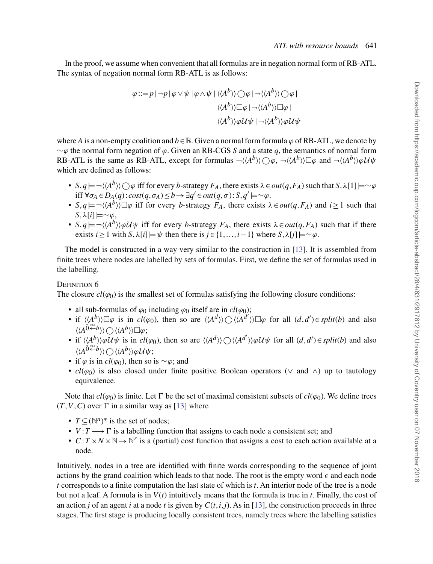In the proof, we assume when convenient that all formulas are in negation normal form of RB-ATL. The syntax of negation normal form RB-ATL is as follows:

$$
\varphi ::= p | \neg p | \varphi \lor \psi | \varphi \land \psi | \langle \langle A^{b} \rangle \rangle \bigcirc \varphi | \neg \langle \langle A^{b} \rangle \rangle \bigcirc \varphi |
$$

$$
\langle \langle A^{b} \rangle \rangle \Box \varphi | \neg \langle \langle A^{b} \rangle \rangle \Box \varphi |
$$

$$
\langle \langle A^{b} \rangle \rangle \varphi \mathcal{U} \psi | \neg \langle \langle A^{b} \rangle \rangle \varphi \mathcal{U} \psi
$$

where *A* is a non-empty coalition and  $b \in \mathbb{B}$ . Given a normal form formula  $\varphi$  of RB-ATL, we denote by ∼ϕ the normal form negation of ϕ. Given an RB-CGS *S* and a state *q*, the semantics of normal form RB-ATL is the same as RB-ATL, except for formulas  $\neg \langle \langle A^b \rangle \rangle \bigcirc \varphi$ ,  $\neg \langle \langle A^b \rangle \rangle \Box \varphi$  and  $\neg \langle \langle A^b \rangle \rangle \varphi \mathcal{U} \psi$ which are defined as follows:

- *S*,  $q \models \neg \langle \langle A^b \rangle \rangle \bigcirc \varphi$  iff for every *b*-strategy  $F_A$ , there exists  $\lambda \in out(q, F_A)$  such that *S*,  $\lambda[1] \models \sim \varphi$ iff  $\forall \sigma_A \in D_A(q) : cost(q, \sigma_A) \leq b \rightarrow \exists q' \in out(q, \sigma) : S, q' \models \sim \varphi$ .
- $S, q \models \neg \langle \langle A^b \rangle \rangle \Box \varphi$  iff for every *b*-strategy  $F_A$ , there exists  $\lambda \in out(q, F_A)$  and  $i \ge 1$  such that *S*,  $λ[i]$  $\models~ ∼$ *ϕ*,
- *S*,  $q \models \neg \langle \langle A^b \rangle \rangle \varphi \mathcal{U} \psi$  iff for every *b*-strategy  $F_A$ , there exists  $\lambda \in out(q, F_A)$  such that if there exists  $i > 1$  with  $S, \lambda[i] \models \psi$  then there is  $j \in \{1, ..., i-1\}$  where  $S, \lambda[j] \models \sim \varphi$ .

The model is constructed in a way very similar to the construction in [\[13](#page-33-0)]. It is assembled from finite trees where nodes are labelled by sets of formulas. First, we define the set of formulas used in the labelling.

#### **DEFINITION 6**

The closure  $cl(\varphi_0)$  is the smallest set of formulas satisfying the following closure conditions:

- all sub-formulas of  $\varphi_0$  including  $\varphi_0$  itself are in  $cl(\varphi_0)$ ;
- if  $\langle A^b \rangle \Box \varphi$  is in  $cl(\varphi_0)$ , then so are  $\langle \langle A^d \rangle \rangle \bigcirc \langle \langle A^{d'} \rangle \rangle \Box \varphi$  for all  $(d, d') \in split(b)$  and also  $\langle\langle A^{\overrightarrow{0} \overset{\infty}{\leftarrow} b} \rangle\rangle \bigcirc \langle\langle A^b \rangle\rangle \Box \varphi;$
- if  $\langle A^b \rangle \phi \mathcal{U} \psi$  is in  $cl(\varphi_0)$ , then so are  $\langle \langle A^d \rangle \rangle \bigcirc \langle \langle A^{d'} \rangle \rangle \varphi \mathcal{U} \psi$  for all  $(d, d') \in split(b)$  and also  $\langle\langle A^{\overrightarrow{0}}\overset{\infty}{\leftarrow}b\rangle\rangle\bigcirc\langle\langle A^b\rangle\rangle\varphi\mathcal{U}\psi;$
- if  $\varphi$  is in  $cl(\varphi_0)$ , then so is ∼ $\varphi$ ; and
- $cl(\varphi_0)$  is also closed under finite positive Boolean operators ( $\vee$  and  $\wedge$ ) up to tautology equivalence.

Note that  $cl(\varphi_0)$  is finite. Let  $\Gamma$  be the set of maximal consistent subsets of  $cl(\varphi_0)$ . We define trees  $(T, V, C)$  over  $\Gamma$  in a similar way as [\[13](#page-33-0)] where

- $T \subseteq (\mathbb{N}^n)^*$  is the set of nodes;
- $V: T \longrightarrow \Gamma$  is a labelling function that assigns to each node a consistent set; and
- $C: T \times N \times \mathbb{N} \to \mathbb{N}^r$  is a (partial) cost function that assigns a cost to each action available at a node.

Intuitively, nodes in a tree are identified with finite words corresponding to the sequence of joint actions by the grand coalition which leads to that node. The root is the empty word  $\epsilon$  and each node *t* corresponds to a finite computation the last state of which is *t*. An interior node of the tree is a node but not a leaf. A formula is in *V*(*t*) intuitively means that the formula is true in *t*. Finally, the cost of an action *j* of an agent *i* at a node *t* is given by  $C(t, i, j)$ . As in [\[13\]](#page-33-0), the construction proceeds in three stages. The first stage is producing locally consistent trees, namely trees where the labelling satisfies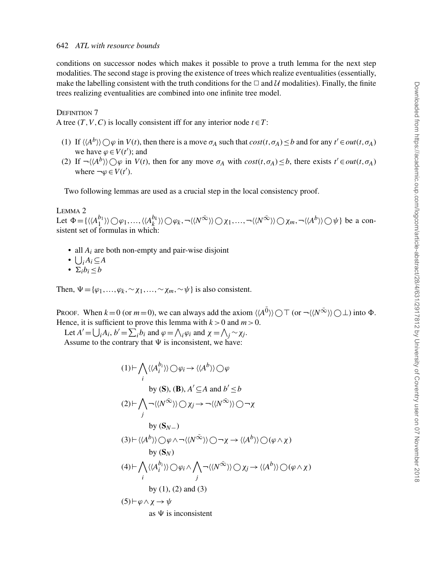<span id="page-12-0"></span>conditions on successor nodes which makes it possible to prove a truth lemma for the next step modalities. The second stage is proving the existence of trees which realize eventualities (essentially, make the labelling consistent with the truth conditions for the  $\Box$  and U modalities). Finally, the finite trees realizing eventualities are combined into one infinite tree model.

#### **DEFINITION 7**

A tree (*T*,*V*,*C*) is locally consistent iff for any interior node  $t \in T$ :

- (1) If  $\langle A^b \rangle$   $\bigcirc \varphi$  in  $V(t)$ , then there is a move  $\sigma_A$  such that  $cost(t, \sigma_A) \le b$  and for any  $t' \in out(t, \sigma_A)$ we have  $\varphi \in V(t')$ ; and
- (2) If  $\neg \langle \langle A^b \rangle \rangle \bigcirc \varphi$  in  $V(t)$ , then for any move  $\sigma_A$  with  $cost(t, \sigma_A) \leq b$ , there exists  $t' \in out(t, \sigma_A)$ where  $\neg \varphi \in V(t')$ .

Two following lemmas are used as a crucial step in the local consistency proof.

#### LEMMA<sub>2</sub>

Let  $\Phi = {\langle \langle A_1^{b_1} \rangle \rangle \bigcirc \varphi_1, ..., \langle \langle A_k^{b_k} \rangle \rangle \bigcirc \varphi_k, \neg \langle \langle N^{\bar{\infty}} \rangle \rangle \bigcirc \chi_1, ..., \neg \langle \langle N^{\bar{\infty}} \rangle \rangle \bigcirc \chi_m, \neg \langle \langle A^b \rangle \rangle \bigcirc \psi}$  be a consistent set of formulas in which:

- all  $A_i$  are both non-empty and pair-wise disjoint
- $\bullet$   $\bigcup_i A_i \subseteq A$
- $\Sigma_i b_i \leq b$

Then,  $\Psi = {\varphi_1, ..., \varphi_k, ~\sim \chi_1, ..., \sim \chi_m, ~\sim \psi}$  is also consistent.

PROOF. When  $k = 0$  (or  $m = 0$ ), we can always add the axiom  $\langle A^{\overline{0}} \rangle \rangle \bigcirc T$  (or  $\neg \langle \langle N^{\overline{\infty}} \rangle \rangle \bigcirc \bot$ ) into  $\Phi$ . Hence, it is sufficient to prove this lemma with  $k > 0$  and  $m > 0$ .

Let  $A' = \bigcup_i A_i$ ,  $b' = \sum_i b_i$  and  $\varphi = \bigwedge_i \varphi_i$  and  $\chi = \bigwedge_j \sim \chi_j$ .

Assume to the contrary that  $\Psi$  is inconsistent, we have:

$$
(1) \vdash \bigwedge_{i} \langle \langle A_{i}^{b_{i}} \rangle \rangle \bigcirc \varphi_{i} \rightarrow \langle \langle A^{b} \rangle \rangle \bigcirc \varphi
$$
\n
$$
\text{by (S), (B), } A' \subseteq A \text{ and } b' \subseteq b
$$
\n
$$
(2) \vdash \bigwedge_{j} \neg \langle \langle N^{\bar{\infty}} \rangle \rangle \bigcirc \chi_{j} \rightarrow \neg \langle \langle N^{\bar{\infty}} \rangle \rangle \bigcirc \neg \chi
$$
\n
$$
\text{by (S_{N-})}
$$
\n
$$
(3) \vdash \langle \langle A^{b} \rangle \rangle \bigcirc \varphi \land \neg \langle \langle N^{\bar{\infty}} \rangle \rangle \bigcirc \neg \chi \rightarrow \langle \langle A^{b} \rangle \rangle \bigcirc (\varphi \land \chi)
$$
\n
$$
\text{by (S_{N})}
$$
\n
$$
(4) \vdash \bigwedge_{i} \langle \langle A_{i}^{b_{i}} \rangle \rangle \bigcirc \varphi_{i} \land \bigwedge_{j} \neg \langle \langle N^{\bar{\infty}} \rangle \rangle \bigcirc \chi_{j} \rightarrow \langle \langle A^{b} \rangle \rangle \bigcirc (\varphi \land \chi)
$$
\n
$$
\text{by (1), (2) and (3)}
$$
\n
$$
(5) \vdash \varphi \land \chi \rightarrow \psi
$$
\n
$$
\text{as } \Psi \text{ is inconsistent}
$$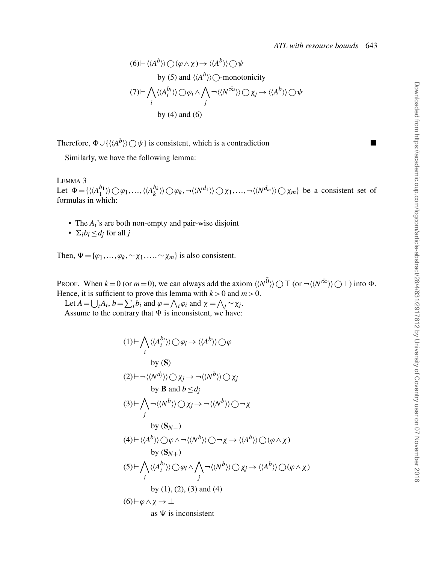<span id="page-13-0"></span>(6) 
$$
\vdash \langle \langle A^b \rangle \rangle \bigcirc (\varphi \wedge \chi) \rightarrow \langle \langle A^b \rangle \rangle \bigcirc \psi
$$
  
by (5) and  $\langle \langle A^b \rangle \rangle \bigcirc$ -monotonicity  
(7)  $\vdash \bigwedge_i \langle \langle A_i^{b_i} \rangle \rangle \bigcirc \varphi_i \wedge \bigwedge_{j} \neg \langle \langle N^{\infty} \rangle \rangle \bigcirc \chi_j \rightarrow \langle \langle A^b \rangle \rangle \bigcirc \psi$   
by (4) and (6)

Therefore,  $\Phi \cup \{\langle \langle A^b \rangle \rangle \bigcirc \psi\}$  is consistent, which is a contradiction

Similarly, we have the following lemma:

Let  $\Phi = {\langle \langle A_1^{b_1} \rangle \rangle \bigcirc \varphi_1, ..., \langle \langle A_k^{b_k} \rangle \rangle \bigcirc \varphi_k, \neg \langle \langle N^{d_1} \rangle \rangle \bigcirc \chi_1, ..., \neg \langle \langle N^{d_m} \rangle \rangle \bigcirc \chi_m}$  be a consistent set of formulas in which:

- The  $A_i$ 's are both non-empty and pair-wise disjoint
- $\Sigma_i b_i \leq d_i$  for all *j*

Then,  $\Psi = {\varphi_1, ..., \varphi_k, \sim \chi_1, ..., \sim \chi_m}$  is also consistent.

PROOF. When  $k = 0$  (or  $m = 0$ ), we can always add the axiom  $\langle \langle N^{\bar{0}} \rangle \rangle \bigcirc T$  (or  $\neg \langle \langle N^{\bar{\infty}} \rangle \rangle \bigcirc \bot$ ) into  $\Phi$ .<br>Hence, it is sufficient to prove this lemma with  $k > 0$  and  $m > 0$ . Hence, it is sufficient to prove this lemma with  $k > 0$  and  $m > 0$ .

Let  $A = \bigcup_i A_i$ ,  $b = \sum_i b_i$  and  $\varphi = \bigwedge_i \varphi_i$  and  $\chi = \bigwedge_j \sim \chi_j$ . Assume to the contrary that  $\Psi$  is inconsistent, we have:

$$
(1) \vdash \bigwedge_{i} \langle \langle A_{i}^{b_{i}} \rangle \rangle \bigcirc \varphi_{i} \rightarrow \langle \langle A^{b} \rangle \rangle \bigcirc \varphi
$$
  
\nby **(S)**  
\n
$$
(2) \vdash \neg \langle \langle N^{d_{j}} \rangle \rangle \bigcirc \chi_{j} \rightarrow \neg \langle \langle N^{b} \rangle \rangle \bigcirc \chi_{j}
$$
  
\nby **B** and  $b \leq d_{j}$   
\n
$$
(3) \vdash \bigwedge_{j} \neg \langle \langle N^{b} \rangle \rangle \bigcirc \chi_{j} \rightarrow \neg \langle \langle N^{b} \rangle \rangle \bigcirc \neg \chi
$$
  
\n
$$
(4) \vdash \langle \langle A^{b} \rangle \rangle \bigcirc \varphi \land \neg \langle \langle N^{b} \rangle \rangle \bigcirc \neg \chi \rightarrow \langle \langle A^{b} \rangle \rangle \bigcirc (\varphi \land \chi)
$$
  
\nby **(S**<sub>N+</sub>)  
\n
$$
(5) \vdash \bigwedge_{i} \langle \langle A_{i}^{b_{i}} \rangle \rangle \bigcirc \varphi_{i} \land \bigwedge_{j} \neg \langle \langle N^{b} \rangle \rangle \bigcirc \chi_{j} \rightarrow \langle \langle A^{b} \rangle \rangle \bigcirc (\varphi \land \chi)
$$
  
\nby **(1)**, **(2)**, **(3)** and **(4)**  
\n**(6)**  $\vdash \varphi \land \chi \rightarrow \bot$   
\nas  $\Psi$  is inconsistent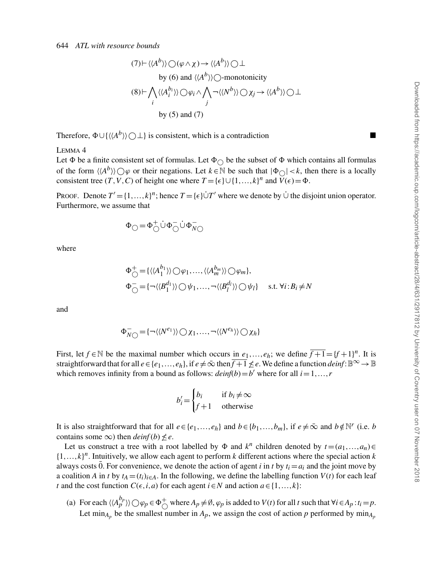<span id="page-14-0"></span>
$$
(7) \vdash \langle \langle A^{b} \rangle \rangle \bigcirc (\varphi \wedge \chi) \rightarrow \langle \langle A^{b} \rangle \rangle \bigcirc \bot
$$
  
by (6) and  $\langle \langle A^{b} \rangle \rangle \bigcirc$ -monotonicity  

$$
(8) \vdash \bigwedge_{i} \langle \langle A^{b_i}_i \rangle \rangle \bigcirc \varphi_i \wedge \bigwedge_{j} \neg \langle \langle N^{b} \rangle \rangle \bigcirc \chi_j \rightarrow \langle \langle A^{b} \rangle \rangle \bigcirc \bot
$$
  
by (5) and (7)

Therefore,  $\Phi \cup \{\langle \langle A^b \rangle \rangle \bigcirc \bot\}$  is consistent, which is a contradiction

LEMMA<sub>4</sub>

Let  $\Phi$  be a finite consistent set of formulas. Let  $\Phi_{\bigcirc}$  be the subset of  $\Phi$  which contains all formulas of the form  $\langle A^b \rangle \langle \rangle \varphi$  or their negations. Let  $k \in \mathbb{N}$  be such that  $|\Phi_{\cap}\rangle \langle k|$ , then there is a locally consistent tree  $(T, V, C)$  of height one where  $T = \{\epsilon\} \cup \{1, ..., k\}^n$  and  $V(\epsilon) = \Phi$ .

Proof. Denote  $T' = \{1, ..., k\}^n$ ; hence  $T = \{\epsilon\} \dot{\cup} T'$  where we denote by  $\dot{\cup}$  the disjoint union operator. Furthermore, we assume that

$$
\Phi_{\bigcirc} \!=\! \Phi_{\bigcirc}^+ \dot{\cup} \Phi_{\bigcirc}^- \dot{\cup} \Phi_{N\bigcirc}^-
$$

where

$$
\Phi_{\bigcirc}^{+} = \{ \langle \langle A_1^{b_1} \rangle \rangle \bigcirc \varphi_1, \dots, \langle \langle A_m^{b_m} \rangle \rangle \bigcirc \varphi_m \},\
$$
  

$$
\Phi_{\bigcirc}^{-} = \{ \neg \langle \langle B_1^{d_1} \rangle \rangle \bigcirc \psi_1, \dots, \neg \langle \langle B_l^{d_l} \rangle \rangle \bigcirc \psi_l \} \quad \text{s.t. } \forall i : B_i \neq N
$$

and

$$
\Phi_{N\bigcirc}^- = \{\neg \langle \langle N^{e_1} \rangle \rangle \bigcirc \chi_1, \dots, \neg \langle \langle N^{e_h} \rangle \rangle \bigcirc \chi_h\}
$$

First, let *f* ∈N be the maximal number which occurs in  $e_1, ..., e_h$ ; we define  $\overline{f+1} = {f+1}^n$ . It is straightforward that for all  $e \in \{e_1,\ldots,e_h\}$ , if  $e \neq \infty$  then  $f+1 \nleq e$ . We define a function  $\text{deinf}$ :  $\mathbb{B}^{\infty} \to \mathbb{B}$ which removes infinity from a bound as follows:  $deinf(b) = b'$  where for all  $i = 1, ..., r$ 

$$
b_i' = \begin{cases} b_i & \text{if } b_i \neq \infty \\ f+1 & \text{otherwise} \end{cases}
$$

It is also straightforward that for all  $e \in \{e_1, \ldots, e_h\}$  and  $b \in \{b_1, \ldots, b_m\}$ , if  $e \neq \infty$  and  $b \notin \mathbb{N}^r$  (i.e. *b* contains some  $\infty$ ) then *deinf* (*b*)  $\leq e$ .

Let us construct a tree with a root labelled by  $\Phi$  and  $k^n$  children denoted by  $t = (a_1, \ldots, a_n) \in$  $\{1,\ldots,k\}$ <sup>*n*</sup>. Intuitively, we allow each agent to perform *k* different actions where the special action *k* always costs 0. For convenience, we denote the action of agent i in t by  $t_i = a_i$  and the joint move by a coalition *A* in *t* by  $t_A = (t_i)_{i \in A}$ . In the following, we define the labelling function  $V(t)$  for each leaf *t* and the cost function  $C(\epsilon, i, a)$  for each agent  $i \in N$  and action  $a \in \{1, ..., k\}$ :

(a) For each  $\langle\langle A_p^{b_p}\rangle\rangle \bigcirc \varphi_p \in \Phi_{\bigcirc}^+$  where  $A_p \neq \emptyset$ ,  $\varphi_p$  is added to  $V(t)$  for all *t* such that  $\forall i \in A_p : t_i = p$ . Let  $\min_{A_p}$  be the smallest number in  $A_p$ , we assign the cost of action *p* performed by  $\min_{A_p}$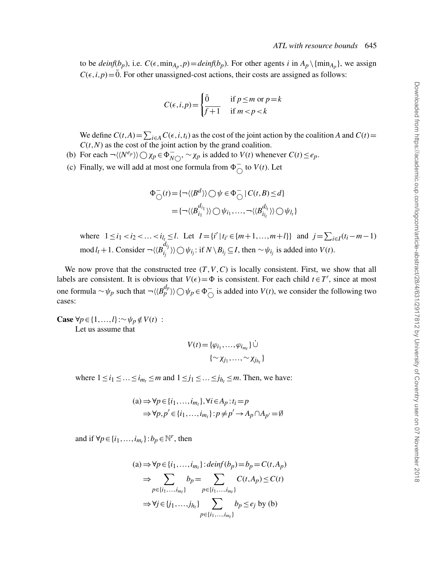to be *deinf*(*b<sub>p</sub>*), i.e.  $C(\epsilon, \min_{A_p}, p) = \text{depth}(b_p)$ . For other agents *i* in  $A_p \setminus \{\min_{A_p}\}$ , we assign  $C(\epsilon, i, p) = \overline{0}$ . For other unassigned-cost actions, their costs are assigned as follows:

$$
C(\epsilon, i, p) = \begin{cases} \bar{0} & \text{if } p \le m \text{ or } p = k \\ \bar{f} + 1 & \text{if } m < p < k \end{cases}
$$

We define  $C(t, A) = \sum_{i \in A} C(\epsilon, i, t_i)$  as the cost of the joint action by the coalition *A* and  $C(t)$  $C(t, N)$  as the cost of the joint action by the grand coalition.

- (b) For each  $\neg \langle \langle N^{e_p} \rangle \rangle \bigcirc \chi_p \in \Phi_{N\bigcirc}^-$ ,  $\sim \chi_p$  is added to  $V(t)$  whenever  $C(t) \leq e_p$ .
- (c) Finally, we will add at most one formula from  $\Phi_{\bigcirc}$  to *V*(*t*). Let

$$
\Phi_{\bigcirc}(t) = {\neg \langle \langle B^d \rangle \rangle \bigcirc \psi \in \Phi_{\bigcirc} \mid C(t, B) \le d}
$$
  
= {¬\langle \langle B\_{i\_1}^{d\_{i\_1}} \rangle \rangle \bigcirc \psi\_{i\_1}, ..., \neg \langle \langle B\_{i\_{l\_t}}^{d\_{l\_t}} \rangle \rangle \bigcirc \psi\_{l\_t}}

where  $1 \le i_1 < i_2 < ... < i_{l_1} \le l$ . Let  $I = \{i' | t_{i'} \in \{m+1, ..., m+l\}\}\$  and  $j = \sum_{i \in I} (t_i - m - 1)$  $\text{mod } l_t + 1$ . Consider  $\neg \langle \langle B_{i_j}^{d_{i_j}} \rangle \rangle \bigcirc \psi_{i_j}$ : if  $N \setminus B_{i_j} \subseteq I$ , then  $\sim \psi_{i_j}$  is added into  $V(t)$ .

We now prove that the constructed tree  $(T, V, C)$  is locally consistent. First, we show that all labels are consistent. It is obvious that  $V(\epsilon) = \Phi$  is consistent. For each child  $t \in T'$ , since at most one formula ∼ $\psi_p$  such that  $\neg \langle \langle B_p^{d_p} \rangle \rangle \bigcirc \psi_p \in \Phi_{\bigcirc}^-$  is added into *V*(*t*), we consider the following two cases:

**Case**  $\forall p \in \{1, ..., l\}$ :∼ $\psi_p \notin V(t)$  : Let us assume that

$$
V(t) = {\varphi_{i_1}, \dots, \varphi_{i_{m_t}}} \cup
$$

$$
{\sim \chi_{j_1}, \dots, \sim \chi_{j_{h_t}}}
$$

where  $1 \le i_1 \le \ldots \le i_{m_t} \le m$  and  $1 \le j_1 \le \ldots \le j_{h_t} \le m$ . Then, we have:

$$
(a) \Rightarrow \forall p \in \{i_1, ..., i_{m_t}\}, \forall i \in A_p : t_i = p
$$
  

$$
\Rightarrow \forall p, p' \in \{i_1, ..., i_{m_t}\} : p \neq p' \to A_p \cap A_{p'} = \emptyset
$$

and if  $\forall p \in \{i_1, \ldots, i_{m_t}\}: b_p \in \mathbb{N}^r$ , then

$$
(a) \Rightarrow \forall p \in \{i_1, \dots, i_{m_t}\} : \text{deinf}(b_p) = b_p = C(t, A_p)
$$
\n
$$
\Rightarrow \sum_{p \in \{i_1, \dots, i_{m_t}\}} b_p = \sum_{p \in \{i_1, \dots, i_{m_t}\}} C(t, A_p) \le C(t)
$$
\n
$$
\Rightarrow \forall j \in \{j_1, \dots, j_{h_t}\} \sum_{p \in \{i_1, \dots, i_{m_t}\}} b_p \le e_j \text{ by } (b)
$$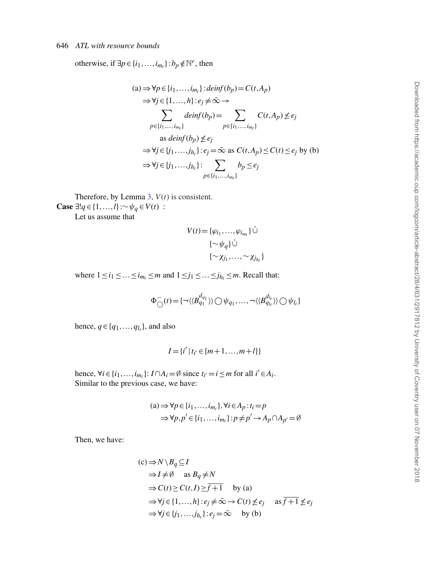otherwise, if  $\exists p \in \{i_1, ..., i_{m_t}\}: b_p \notin \mathbb{N}^r$ , then

$$
(a) \Rightarrow \forall p \in \{i_1, ..., i_{m_t}\}: \text{def}(b_p) = C(t, A_p)
$$
\n
$$
\Rightarrow \forall j \in \{1, ..., h\}: e_j \neq \bar{\infty} \to
$$
\n
$$
\sum_{p \in \{i_1, ..., i_{m_t}\}} \text{def}(b_p) = \sum_{p \in \{i_1, ..., i_{m_t}\}} C(t, A_p) \nleq e_j
$$
\nas  $\text{def}(b_p) \nleq e_j$   
\n
$$
\Rightarrow \forall j \in \{j_1, ..., j_{h_t}\}: e_j = \bar{\infty} \text{ as } C(t, A_p) \leq C(t) \leq e_j \text{ by (b)}
$$
\n
$$
\Rightarrow \forall j \in \{j_1, ..., j_{h_t}\}: \sum_{p \in \{i_1, ..., i_{m_t}\}} b_p \leq e_j
$$

Therefore, by Lemma [3](#page-13-0),  $V(t)$  is consistent. **Case**  $\exists ! q \in \{1, ..., l\} : \sim \psi_q \in V(t)$  :

Let us assume that

$$
V(t) = {\varphi_{i_1}, \dots, \varphi_{i_{m_t}}} \cup
$$

$$
{\sim \psi_q} \cup
$$

$$
{\sim \chi_{j_1}, \dots, \sim \chi_{j_{h_t}}}
$$

where  $1 \le i_1 \le \dots \le i_{m_t} \le m$  and  $1 \le j_1 \le \dots \le j_{h_t} \le m$ . Recall that:

$$
\Phi_{\bigcirc}^{-}(t) = \{ \neg \langle \langle B_{q_1}^{d_{q_1}} \rangle \rangle \bigcirc \psi_{q_1}, \dots, \neg \langle \langle B_{q_{l_t}}^{d_{l_t}} \rangle \rangle \bigcirc \psi_{l_t} \}
$$

hence,  $q \in \{q_1, \ldots, q_{l_t}\}$ , and also

$$
I = \{i' \mid t_{i'} \in \{m+1, \ldots, m+l\}\}
$$

hence,  $\forall i \in \{i_1, ..., i_{m_i}\}: I \cap A_i = \emptyset$  since  $t_{i'} = i \leq m$  for all  $i' \in A_i$ . Similar to the previous case, we have:

$$
(a) \Rightarrow \forall p \in \{i_1, \dots, i_{m_t}\}, \forall i \in A_p : t_i = p
$$
  

$$
\Rightarrow \forall p, p' \in \{i_1, \dots, i_{m_t}\} : p \neq p' \rightarrow A_p \cap A_{p'} = \emptyset
$$

Then, we have:

$$
(c) \Rightarrow N \setminus B_q \subseteq I
$$
  
\n
$$
\Rightarrow I \neq \emptyset \text{ as } B_q \neq N
$$
  
\n
$$
\Rightarrow C(t) \geq C(t, I) \geq \overline{f+1} \text{ by (a)}
$$
  
\n
$$
\Rightarrow \forall j \in \{1, ..., h\} : e_j \neq \overline{\infty} \to C(t) \nleq e_j \text{ as } \overline{f+1} \nleq e_j
$$
  
\n
$$
\Rightarrow \forall j \in \{j_1, ..., j_{h_i}\} : e_j = \overline{\infty} \text{ by (b)}
$$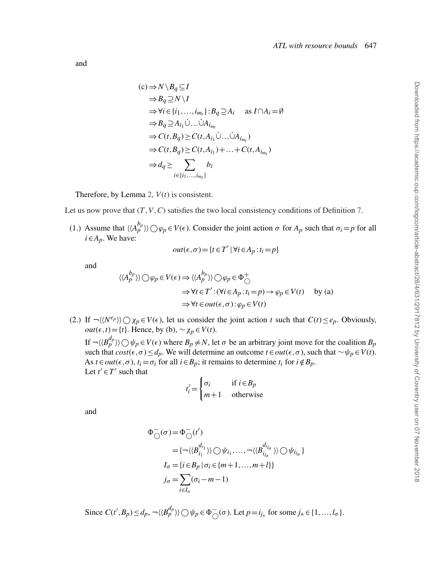and

$$
(c) \Rightarrow N \setminus B_q \subseteq I
$$
  
\n
$$
\Rightarrow B_q \supseteq N \setminus I
$$
  
\n
$$
\Rightarrow \forall i \in \{i_1, ..., i_{m_t}\}: B_q \supseteq A_i \text{ as } I \cap A_i = \emptyset
$$
  
\n
$$
\Rightarrow B_q \supseteq A_{i_1} \cup ... \cup A_{i_{m_t}}
$$
  
\n
$$
\Rightarrow C(t, B_q) \ge C(t, A_{i_1} \cup ... \cup A_{i_{m_t}})
$$
  
\n
$$
\Rightarrow C(t, B_q) \ge C(t, A_{i_1}) + ... + C(t, A_{i_{m_t}})
$$
  
\n
$$
\Rightarrow d_q \ge \sum_{i \in \{i_1, ..., i_{m_t}\}} b_i
$$

Therefore, by Lemma [2,](#page-12-0) *V*(*t*) is consistent.

Let us now prove that  $(T, V, C)$  satisfies the two local consistency conditions of Definition [7.](#page-12-0)

(1.) Assume that  $\langle \langle A_p^{b_p} \rangle \rangle \bigcirc \varphi_p \in V(\epsilon)$ . Consider the joint action  $\sigma$  for  $A_p$  such that  $\sigma_i = p$  for all *i*∈ $A_p$ . We have:

$$
out(\epsilon, \sigma) = \{ t \in T' \mid \forall i \in A_p : t_i = p \}
$$

and

$$
\langle \langle A_p^{b_p} \rangle \rangle \bigcirc \varphi_p \in V(\epsilon) \Rightarrow \langle \langle A_p^{b_p} \rangle \rangle \bigcirc \varphi_p \in \Phi_{\bigcirc}^+
$$
  
\n
$$
\Rightarrow \forall t \in T': (\forall i \in A_p : t_i = p) \rightarrow \varphi_p \in V(t) \quad \text{by (a)}
$$
  
\n
$$
\Rightarrow \forall t \in out(\epsilon, \sigma) : \varphi_p \in V(t)
$$

(2.) If  $\neg \langle N^{e_p} \rangle \bigcirc \chi_p \in V(\epsilon)$ , let us consider the joint action *t* such that  $C(t) \leq e_p$ . Obviously,  $out(\epsilon, t) = \{t\}$ . Hence, by (b), ∼ $\chi_p \in V(t)$ .

If  $\neg \langle \langle B_p^{d_p} \rangle \rangle \bigcirc \psi_p \in V(\epsilon)$  where  $B_p \neq N$ , let  $\sigma$  be an arbitrary joint move for the coalition  $B_p$ such that  $cost(\epsilon, \sigma) \leq d_p$ . We will determine an outcome  $t \in out(\epsilon, \sigma)$ , such that  $\sim \psi_p \in V(t)$ . As  $t \in out(\epsilon, \sigma)$ ,  $t_i = \sigma_i$  for all  $i \in B_p$ ; it remains to determine  $t_i$  for  $i \notin B_p$ . Let  $t' \in T'$  such that

$$
t'_{i} = \begin{cases} \sigma_{i} & \text{if } i \in B_{p} \\ m+1 & \text{otherwise} \end{cases}
$$

and

$$
\Phi_{\bigcirc}(\sigma) = \Phi_{\bigcirc}(\iota')
$$
\n
$$
= \{\neg \langle \langle B_{i_1}^{d_{i_1}} \rangle \rangle \bigcirc \psi_{i_1}, \dots, \neg \langle \langle B_{i_{l_\sigma}}^{d_{i_{l_\sigma}}} \rangle \rangle \bigcirc \psi_{i_{l_\sigma}}\}
$$
\n
$$
I_{\sigma} = \{i \in B_p \mid \sigma_i \in \{m+1, \dots, m+l\}\}
$$
\n
$$
j_{\sigma} = \sum_{i \in I_{\sigma}} (\sigma_i - m - 1)
$$

Since  $C(t', B_p) \le d_p$ ,  $\neg \langle \langle B_p^{d_p} \rangle \rangle \bigcirc \psi_p \in \Phi_{\bigcirc}^-(\sigma)$ . Let  $p = i_{j_*}$  for some  $j_* \in \{1, ..., l_{\sigma}\}$ .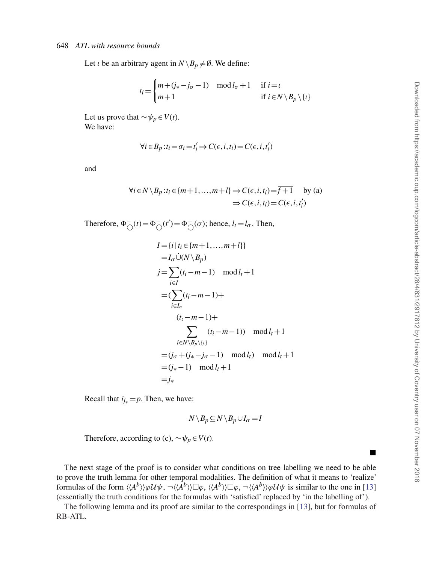▬

#### <span id="page-18-0"></span>648 *ATL with resource bounds*

Let *i* be an arbitrary agent in  $N \setminus B_p \neq \emptyset$ . We define:

$$
t_i = \begin{cases} m + (j_* - j_\sigma - 1) & \text{mod } l_\sigma + 1 & \text{if } i = l \\ m + 1 & \text{if } i \in N \setminus B_p \setminus \{l\} \end{cases}
$$

Let us prove that  $∼ψ<sub>p</sub> ∈ V(t)$ . We have:

$$
\forall i \in B_p : t_i = \sigma_i = t'_i \Rightarrow C(\epsilon, i, t_i) = C(\epsilon, i, t'_i)
$$

and

$$
\forall i \in N \setminus B_p : t_i \in \{m+1, ..., m+l\} \Rightarrow C(\epsilon, i, t_i) = \overline{f+1} \quad \text{by (a)}
$$

$$
\Rightarrow C(\epsilon, i, t_i) = C(\epsilon, i, t'_i)
$$

Therefore,  $\Phi_{\bigcirc}(t) = \Phi_{\bigcirc}(t') = \Phi_{\bigcirc}(\sigma)$ ; hence,  $l_t = l_\sigma$ . Then,

$$
I = \{i | t_i \in \{m+1, ..., m+l\}\}\
$$
  
=  $I_{\sigma} \dot{\cup} (N \setminus B_p)$   

$$
j = \sum_{i \in I} (t_i - m - 1) \mod l_t + 1
$$
  
=  $(\sum_{i \in I_{\sigma}} (t_i - m - 1) +$   
 $(t_i - m - 1) +$   
 $\sum_{i \in N \setminus B_p \setminus \{i\}} (t_i - m - 1)) \mod l_t + 1$   
=  $(j_{\sigma} + (j_{\ast} - j_{\sigma} - 1) \mod l_t) \mod l_t + 1$   
=  $(j_{\ast} - 1) \mod l_t + 1$   
=  $j_{\ast}$ 

Recall that  $i_{j*} = p$ . Then, we have:

$$
N \setminus B_p \subseteq N \setminus B_p \cup I_{\sigma} = I
$$

Therefore, according to (c),  $\sim \psi_p \in V(t)$ .

The next stage of the proof is to consider what conditions on tree labelling we need to be able to prove the truth lemma for other temporal modalities. The definition of what it means to 'realize' formulas of the form  $\langle\langle A^b \rangle\rangle \varphi \mathcal{U} \psi$ ,  $\neg \langle\langle A^b \rangle\rangle \Box \varphi$ ,  $\langle\langle A^b \rangle\rangle \Box \varphi$ ,  $\neg \langle\langle A^b \rangle\rangle \varphi \mathcal{U} \psi$  is similar to the one in [\[13](#page-33-0)] (essentially the truth conditions for the formulas with 'satisfied' replaced by 'in the labelling of').

The following lemma and its proof are similar to the correspondings in [\[13\]](#page-33-0), but for formulas of RB-ATL.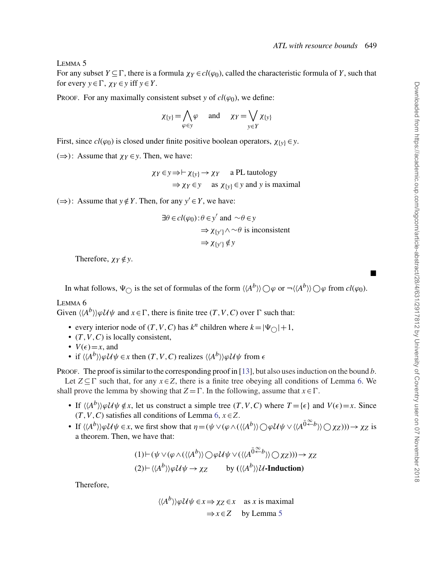Ц

<span id="page-19-0"></span>

For any subset *Y*  $\subseteq$   $\Gamma$ , there is a formula  $\chi$ *Y*  $\in$  *cl*( $\varphi$ <sub>0</sub>), called the characteristic formula of *Y*, such that for every  $y \in \Gamma$ ,  $\chi_Y \in y$  iff  $y \in Y$ .

PROOF. For any maximally consistent subset *y* of  $cl(\varphi_0)$ , we define:

$$
\chi_{\{y\}} = \bigwedge_{\varphi \in y} \varphi \quad \text{and} \quad \chi_Y = \bigvee_{y \in Y} \chi_{\{y\}}
$$

First, since  $cl(\varphi_0)$  is closed under finite positive boolean operators,  $\chi_{\{v\}} \in y$ .

 $(\Rightarrow)$ : Assume that  $\chi_Y \in \mathcal{Y}$ . Then, we have:

 $\chi_Y \in y \Rightarrow \vdash \chi_{\{y\}} \to \chi_Y$  a PL tautology  $\Rightarrow \chi_Y \in y$  as  $\chi_{\{v\}} \in y$  and *y* is maximal

( $\Rightarrow$ ): Assume that *y*∉*Y*. Then, for any *y'* ∈ *Y*, we have:

$$
\exists \theta \in cl(\varphi_0) : \theta \in y' \text{ and } \sim \theta \in y
$$
  
\n
$$
\Rightarrow \chi_{\{y'\}} \wedge \sim \theta \text{ is inconsistent}
$$
  
\n
$$
\Rightarrow \chi_{\{y'\}} \notin y
$$

Therefore,  $\chi_Y \notin y$ .

In what follows,  $\Psi_{\bigcirc}$  is the set of formulas of the form  $\langle\langle A^b \rangle\rangle \bigcirc \varphi$  or  $\neg \langle\langle A^b \rangle\rangle \bigcirc \varphi$  from  $cl(\varphi_0)$ .

Given  $\langle \langle A^b \rangle \rangle \varphi \mathcal{U} \psi$  and  $x \in \Gamma$ , there is finite tree  $(T, V, C)$  over  $\Gamma$  such that:

- every interior node of  $(T, V, C)$  has  $k^n$  children where  $k = |\Psi_{\bigcirc}| + 1$ ,
- (*T*,*V*,*C*) is locally consistent,
- $V(\epsilon) = x$ , and
- if  $\langle \langle A^b \rangle \rangle \varphi \mathcal{U} \psi \in x$  then  $(T, V, C)$  realizes  $\langle \langle A^b \rangle \rangle \varphi \mathcal{U} \psi$  from  $\epsilon$

Proof. The proof is similar to the corresponding proof in [\[13](#page-33-0)], but also uses induction on the bound *<sup>b</sup>*.

Let  $Z \subseteq \Gamma$  such that, for any  $x \in Z$ , there is a finite tree obeying all conditions of Lemma 6. We shall prove the lemma by showing that  $Z = \Gamma$ . In the following, assume that  $x \in \Gamma$ .

- If  $\langle A^b \rangle \varphi \mathcal{U} \psi \notin \mathbf{x}$ , let us construct a simple tree  $(T, V, C)$  where  $T = \{\epsilon\}$  and  $V(\epsilon) = \mathbf{x}$ . Since (*T*,*V*,*C*) satisfies all conditions of Lemma 6, *x*∈*Z*.
- If  $\langle \langle A^b \rangle \rangle \varphi \mathcal{U} \psi \in x$ , we first show that  $\eta = (\psi \vee (\varphi \wedge (\langle \langle A^b \rangle \rangle \bigcirc \varphi \mathcal{U} \psi \vee \langle \langle A^{\overline{0}} \stackrel{\sim}{\leftarrow} b \rangle \langle \bigcirc \chi_Z \rangle)) \rightarrow \chi_Z$  is a theorem. Then, we have that:

$$
(1) \vdash (\psi \lor (\varphi \land (\langle \langle A^b \rangle \rangle \bigcirc \varphi \mathcal{U} \psi \lor (\langle \langle A^{\overline{0}} \stackrel{\infty}{\sim} b \rangle \rangle \bigcirc \chi_Z))) \to \chi_Z
$$
  

$$
(2) \vdash \langle \langle A^b \rangle \rangle \varphi \mathcal{U} \psi \to \chi_Z
$$
 by  $(\langle \langle A^b \rangle \rangle \mathcal{U}\text{-Induction})$ 

Therefore,

$$
\langle \langle A^b \rangle \rangle \varphi \mathcal{U} \psi \in x \Rightarrow \chi_Z \in x \quad \text{as } x \text{ is maximal}
$$
  

$$
\Rightarrow x \in Z \quad \text{by Lemma 5}
$$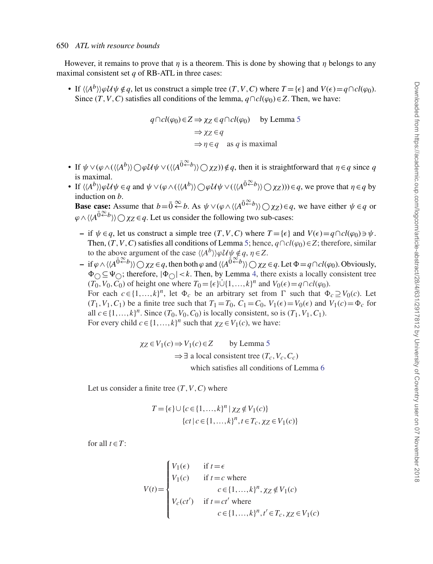However, it remains to prove that  $\eta$  is a theorem. This is done by showing that  $\eta$  belongs to any maximal consistent set *q* of RB-ATL in three cases:

• If  $\langle A^b \rangle \varphi \mathcal{U} \psi \notin q$ , let us construct a simple tree  $(T, V, C)$  where  $T = \{\epsilon\}$  and  $V(\epsilon) = q \cap cl(\varphi_0)$ . Since (*T*,*V*,*C*) satisfies all conditions of the lemma,  $q \cap cl(\varphi_0) \in Z$ . Then, we have:

$$
q \cap cl(\varphi_0) \in Z \Rightarrow \chi_Z \in q \cap cl(\varphi_0) \quad \text{by Lemma 5}
$$

$$
\Rightarrow \chi_Z \in q
$$

$$
\Rightarrow \eta \in q \quad \text{as } q \text{ is maximal}
$$

- If  $\psi \lor (\varphi \land (\langle \langle A^b \rangle \rangle \bigcirc \varphi \mathcal{U} \psi \lor (\langle \langle A^{\overline{0}} \stackrel{\infty}{\leftarrow} b \rangle \rangle \bigcirc \chi_Z)) \notin q$ , then it is straightforward that  $\eta \in q$  since  $q$ is maximal.
- If  $\langle\langle A^b\rangle\rangle\varphi U\psi \in q$  and  $\psi \vee (\varphi \wedge (\langle\langle A^b\rangle\rangle \bigcirc \varphi U\psi \vee (\langle\langle A^{\overline{0}}\stackrel{\sim}{\leftarrow} b\rangle\rangle \bigcirc \chi_Z))) \in q$ , we prove that  $\eta \in q$  by induction on *b*.

**Base case:** Assume that  $b = \overline{0} \stackrel{\infty}{\leftarrow} b$ . As  $\psi \vee (\varphi \wedge \langle \langle A^{\overline{0} \stackrel{\infty}{\leftarrow} b} \rangle) \bigcirc \chi_Z) \in q$ , we have either  $\psi \in q$  or  $\varphi \wedge \langle \langle A^{0} \stackrel{\infty}{\sim} b \rangle \rangle \bigcirc \chi_Z \in q$ . Let us consider the following two sub-cases:

- **−** if  $\psi \in q$ , let us construct a simple tree  $(T, V, C)$  where  $T = \{\epsilon\}$  and  $V(\epsilon) = q \cap cl(\varphi_0) \ni \psi$ . Then,  $(T, V, C)$  satisfies all conditions of Lemma [5;](#page-18-0) hence,  $q \cap cl(\varphi_0) \in Z$ ; therefore, similar to the above argument of the case  $\langle A^b \rangle$  $\varphi \mathcal{U} \psi \notin q, \eta \in \mathbb{Z}$ .
- $-\text{ if } \varphi \wedge \langle \langle A^{0} \stackrel{\infty}{\sim} b \rangle \rangle \bigcirc \chi_{Z} \in q, \text{ then both } \varphi \text{ and } \langle \langle A^{0} \stackrel{\infty}{\sim} b \rangle \rangle \bigcirc \chi_{Z} \in q.$  Let  $\Phi = q \cap cl(\varphi_{0}).$  Obviously,  $\Phi \cap \subseteq \Psi$ ; therefore,  $|\Phi \cap \rangle < k$ . Then, by Lemma [4,](#page-14-0) there exists a locally consistent tree  $(T_0, V_0, C_0)$  of height one where  $T_0 = {\epsilon} \cup {1, \ldots, k}$ *n* and  $V_0(\epsilon) = q \cap cl(\varphi_0)$ . For each  $c \in \{1, ..., k\}$ <sup>n</sup>, let  $\Phi_c$  be an arbitrary set from  $\Gamma$  such that  $\Phi_c \supseteq V_0(c)$ . Let  $(T_1, V_1, C_1)$  be a finite tree such that  $T_1 = T_0$ ,  $C_1 = C_0$ ,  $V_1(\epsilon) = V_0(\epsilon)$  and  $V_1(c) = \Phi_c$  for all *c*∈{1,...,*k*}<sup>*n*</sup>. Since (*T*<sub>0</sub>, *V*<sub>0</sub>, *C*<sub>0</sub>) is locally consistent, so is (*T*<sub>1</sub>, *V*<sub>1</sub>, *C*<sub>1</sub>).

For every child  $c \in \{1, ..., k\}^n$  such that  $\chi_Z \in V_1(c)$ , we have:

$$
\chi_Z \in V_1(c) \Rightarrow V_1(c) \in Z \qquad \text{by Lemma 5}
$$
  
\n
$$
\Rightarrow \exists \text{ a local consistent tree } (T_c, V_c, C_c)
$$
  
\nwhich satisfies all conditions of Lemma 6

Let us consider a finite tree  $(T, V, C)$  where

$$
T = \{ \epsilon \} \cup \{ c \in \{ 1, ..., k \}^n \mid \chi_Z \notin V_1(c) \}
$$

$$
\{ ct \mid c \in \{ 1, ..., k \}^n, t \in T_c, \chi_Z \in V_1(c) \}
$$

for all  $t \in T$ :

$$
V(t) = \begin{cases} V_1(\epsilon) & \text{if } t = \epsilon \\ V_1(c) & \text{if } t = c \text{ where} \\ c \in \{1, ..., k\}^n, \chi_Z \notin V_1(c) \\ V_c(ct') & \text{if } t = ct' \text{ where} \\ c \in \{1, ..., k\}^n, t' \in T_c, \chi_Z \in V_1(c) \end{cases}
$$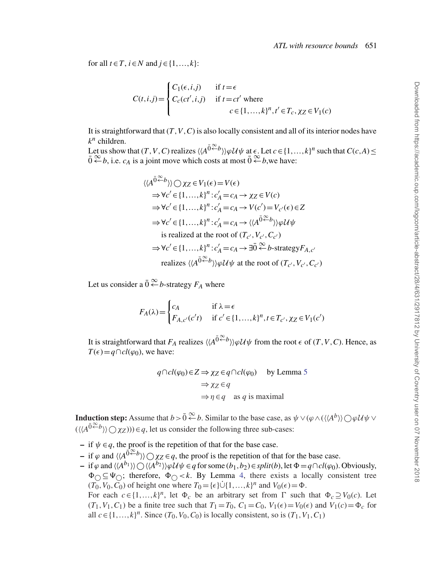for all *t* ∈*T*, *i*∈*N* and *j*∈ {1,...,*k*}:

$$
C(t, i, j) = \begin{cases} C_1(\epsilon, i, j) & \text{if } t = \epsilon \\ C_c(ct', i, j) & \text{if } t = ct' \text{ where} \\ c \in \{1, ..., k\}^n, t' \in T_c, \chi_Z \in V_1(c) \end{cases}
$$

It is straightforward that (*T*,*V*,*C*) is also locally consistent and all of its interior nodes have  $k^n$  children.

Let us show that  $(T, V, C)$  realizes  $\langle\langle A^{\overline{0}}\rightleftharpoons b\rangle\rangle\varphi\mathcal{U}\psi$  at  $\epsilon$ . Let  $c \in \{1, ..., k\}^n$  such that  $C(c, A) \leq$  $\overline{0} \overset{\infty}{\leftarrow} b$ , i.e. *c<sub>A</sub>* is a joint move which costs at most  $\overline{0} \overset{\infty}{\leftarrow} b$ , we have:

$$
\langle \langle A^{\overline{0}} \stackrel{\approx}{\leftarrow} b \rangle \rangle \bigcirc \chi_Z \in V_1(\epsilon) = V(\epsilon)
$$
  
\n
$$
\Rightarrow \forall c' \in \{1, ..., k\}^n : c'_A = c_A \rightarrow \chi_Z \in V(c)
$$
  
\n
$$
\Rightarrow \forall c' \in \{1, ..., k\}^n : c'_A = c_A \rightarrow V(c') = V_{c'}(\epsilon) \in Z
$$
  
\n
$$
\Rightarrow \forall c' \in \{1, ..., k\}^n : c'_A = c_A \rightarrow \langle \langle A^{\overline{0}} \stackrel{\approx}{\leftarrow} b \rangle \rangle \varphi U \psi
$$
  
\nis realized at the root of  $(T_{c'}, V_{c'}, C_{c'})$   
\n
$$
\Rightarrow \forall c' \in \{1, ..., k\}^n : c'_A = c_A \rightarrow \exists \overline{0} \stackrel{\infty}{\leftarrow} b\text{-strategy}F_{A, c'}
$$
  
\nrealizes  $\langle \langle A^{\overline{0}} \stackrel{\approx}{\leftarrow} b \rangle \rangle \varphi U \psi$  at the root of  $(T_{c'}, V_{c'}, C_{c'})$ 

Let us consider a  $\bar{0} \stackrel{\infty}{\leftarrow} b$ -strategy  $F_A$  where

$$
F_A(\lambda) = \begin{cases} c_A & \text{if } \lambda = \epsilon \\ F_{A,c'}(c't) & \text{if } c' \in \{1, \dots, k\}^n, t \in T_{c'}, \chi_Z \in V_1(c') \end{cases}
$$

It is straightforward that  $F_A$  realizes  $\langle\langle A^{0} \stackrel{\infty}{\leftarrow} b \rangle\rangle \varphi U \psi$  from the root  $\epsilon$  of  $(T, V, C)$ . Hence, as  $T(\epsilon) = q \cap cl(\varphi_0)$ , we have:

$$
q \cap cl(\varphi_0) \in Z \Rightarrow \chi_Z \in q \cap cl(\varphi_0) \quad \text{by Lemma 5}
$$

$$
\Rightarrow \chi_Z \in q
$$

$$
\Rightarrow \eta \in q \quad \text{as } q \text{ is maximal}
$$

**Induction step:** Assume that  $b > \overline{0} \stackrel{\infty}{\leftarrow} b$ . Similar to the base case, as  $\psi \vee (\varphi \wedge (\langle \langle A^b \rangle \rangle \bigcirc \varphi \mathcal{U} \psi \vee$  $(\langle\langle A^{0} \stackrel{\infty}{\leftarrow} b \rangle\rangle \bigcirc \chi_Z)$ ) $)\in q$ , let us consider the following three sub-cases:

- **−** if  $\psi$  ∈ *q*, the proof is the repetition of that for the base case.
- $-\text{ if } \varphi \text{ and } \langle \langle A^{0} \rangle \rangle \bigcirc \chi_Z \in q, \text{ the proof is the repetition of that for the base case.}$
- $-$  if  $\varphi$  and  $\langle\langle A^{b_1}\rangle\rangle$   $\bigcirc$   $\langle\langle A^{b_2}\rangle\rangle\varphi\mathcal{U}\psi \in q$  for some  $(b_1, b_2) \in split(b)$ , let  $\Phi = q \cap cl(\varphi_0)$ . Obviously,  $\Phi \cap \subseteq \Psi \cap$ ; therefore,  $\Phi \cap \leq k$ . By Lemma [4,](#page-14-0) there exists a locally consistent tree  $(\overline{T_0}, V_0, \overline{C_0})$  of height one where  $T_0 = {\epsilon} \cup \{1, ..., k\}$  and  $V_0({\epsilon}) = \Phi$ . For each  $c \in \{1, ..., k\}^n$ , let  $\Phi_c$  be an arbitrary set from  $\Gamma$  such that  $\Phi_c \supseteq V_0(c)$ . Let

 $(T_1, V_1, C_1)$  be a finite tree such that  $T_1 = T_0$ ,  $C_1 = C_0$ ,  $V_1(\epsilon) = V_0(\epsilon)$  and  $V_1(c) = \Phi_c$  for all *c*∈{1,...,*k*}<sup>*n*</sup>. Since (*T*<sub>0</sub>, *V*<sub>0</sub>, *C*<sub>0</sub>) is locally consistent, so is (*T*<sub>1</sub>, *V*<sub>1</sub>, *C*<sub>1</sub>)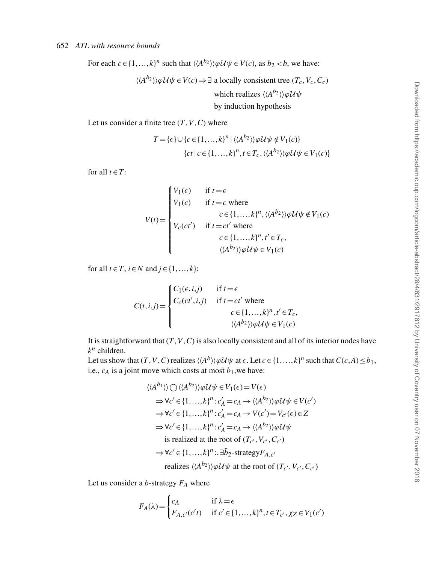For each  $c \in \{1, ..., k\}^n$  such that  $\langle \langle A^{b_2} \rangle \rangle \varphi \mathcal{U} \psi \in V(c)$ , as  $b_2 < b$ , we have:  $\langle A^{b_2} \rangle \varphi \mathcal{U} \psi \in V(c) \Rightarrow \exists$  a locally consistent tree  $(T_c, V_c, C_c)$ which realizes  $\langle \langle A^{b_2} \rangle \rangle \varphi \mathcal{U} \psi$ 

by induction hypothesis

Let us consider a finite tree  $(T, V, C)$  where

$$
T = \{\epsilon\} \cup \{c \in \{1, ..., k\}^n \mid \langle \langle A^{b_2} \rangle \rangle \varphi \mathcal{U} \psi \notin V_1(c)\}\
$$

$$
\{ct \mid c \in \{1, ..., k\}^n, t \in T_c, \langle \langle A^{b_2} \rangle \rangle \varphi \mathcal{U} \psi \in V_1(c)\}\
$$

for all  $t \in T$ :

$$
V(t) = \begin{cases} V_1(\epsilon) & \text{if } t = \epsilon \\ V_1(c) & \text{if } t = c \text{ where} \\ c \in \{1, ..., k\}^n, \langle \langle A^{b_2} \rangle \rangle \varphi U \psi \notin V_1(c) \\ V_c(ct') & \text{if } t = ct' \text{ where} \\ c \in \{1, ..., k\}^n, t' \in T_c, \\ \langle \langle A^{b_2} \rangle \rangle \varphi U \psi \in V_1(c) \end{cases}
$$

for all *t*∈*T*, *i*∈*N* and *j*∈{1,...,*k*}:

$$
C(t, i, j) = \begin{cases} C_1(\epsilon, i, j) & \text{if } t = \epsilon \\ C_c(ct', i, j) & \text{if } t = ct' \text{ where} \\ c \in \{1, ..., k\}^n, t' \in T_c, \\ (\langle A^{b_2} \rangle) \varphi U \psi \in V_1(c) \end{cases}
$$

It is straightforward that (*T*,*V*,*C*) is also locally consistent and all of its interior nodes have *k<sup>n</sup>* children.

Let us show that  $(T, V, C)$  realizes  $\langle\langle A^b \rangle\rangle \varphi \mathcal{U} \psi$  at  $\epsilon$ . Let  $c \in \{1, ..., k\}^n$  such that  $C(c, A) \leq b_1$ , i.e.,  $c_A$  is a joint move which costs at most  $b_1$ , we have:

$$
\langle\langle A^{b_1}\rangle\rangle \bigcirc \langle\langle A^{b_2}\rangle\rangle \varphi \mathcal{U} \psi \in V_1(\epsilon) = V(\epsilon)
$$
  
\n
$$
\Rightarrow \forall c' \in \{1, ..., k\}^n : c'_A = c_A \rightarrow \langle\langle A^{b_2}\rangle\rangle \varphi \mathcal{U} \psi \in V(c')
$$
  
\n
$$
\Rightarrow \forall c' \in \{1, ..., k\}^n : c'_A = c_A \rightarrow V(c') = V_{c'}(\epsilon) \in Z
$$
  
\n
$$
\Rightarrow \forall c' \in \{1, ..., k\}^n : c'_A = c_A \rightarrow \langle\langle A^{b_2}\rangle\rangle \varphi \mathcal{U} \psi
$$
  
\nis realized at the root of  $(T_{c'}, V_{c'}, C_{c'})$   
\n
$$
\Rightarrow \forall c' \in \{1, ..., k\}^n : \exists \overline{b}_2\text{-strategy} F_{A,c'}
$$
  
\nrealizes  $\langle\langle A^{b_2}\rangle\rangle \varphi \mathcal{U} \psi$  at the root of  $(T_{c'}, V_{c'}, C_{c'})$ 

Let us consider a *b*-strategy  $F_A$  where

$$
F_A(\lambda) = \begin{cases} c_A & \text{if } \lambda = \epsilon \\ F_{A,c'}(c't) & \text{if } c' \in \{1, \dots, k\}^n, t \in T_{c'}, \chi_Z \in V_1(c') \end{cases}
$$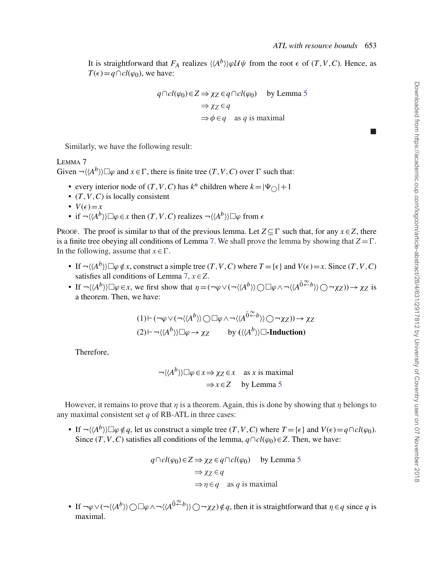$\overline{\phantom{a}}$ 

<span id="page-23-0"></span>It is straightforward that  $F_A$  realizes  $\langle \langle A^b \rangle \rangle \varphi \mathcal{U} \psi$  from the root  $\epsilon$  of  $(T, V, C)$ . Hence, as  $T(\epsilon) = q \cap cl(\varphi_0)$ , we have:

$$
q \cap cl(\varphi_0) \in Z \Rightarrow \chi_Z \in q \cap cl(\varphi_0) \quad \text{by Lemma 5}
$$

$$
\Rightarrow \chi_Z \in q
$$

$$
\Rightarrow \phi \in q \quad \text{as } q \text{ is maximal}
$$

Similarly, we have the following result:

LEMMA<sub>7</sub> Given  $\neg \langle \langle A^b \rangle \rangle \Box \varphi$  and  $x \in \Gamma$ , there is finite tree  $(T, V, C)$  over  $\Gamma$  such that:

- every interior node of  $(T, V, C)$  has  $k^n$  children where  $k = |\Psi_{\bigcirc}| + 1$
- (*T*,*V*,*C*) is locally consistent
- $V(\epsilon)=x$
- if  $\neg \langle \langle A^b \rangle \rangle \Box \varphi \in x$  then  $(T, V, C)$  realizes  $\neg \langle \langle A^b \rangle \rangle \Box \varphi$  from  $\epsilon$

PROOF. The proof is similar to that of the previous lemma. Let  $Z \subseteq \Gamma$  such that, for any  $x \in Z$ , there is a finite tree obeying all conditions of Lemma 7. We shall prove the lemma by showing that  $Z = \Gamma$ . In the following, assume that  $x \in \Gamma$ .

- If  $\neg \langle \langle A^b \rangle \rangle \Box \varphi \notin x$ , construct a simple tree  $(T, V, C)$  where  $T = \{\epsilon\}$  and  $V(\epsilon) = x$ . Since  $(T, V, C)$ satisfies all conditions of Lemma 7, *x*∈*Z*.
- If  $\neg \langle \langle A^b \rangle \rangle \Box \varphi \in x$ , we first show that  $\eta = (\neg \varphi \lor (\neg \langle \langle A^b \rangle \rangle \bigcirc \Box \varphi \land \neg \langle \langle A^{\overline{0}} \stackrel{\sim}{\leftarrow} b \rangle \rangle \bigcirc \neg \chi_Z)) \rightarrow \chi_Z$  is a theorem. Then, we have:

$$
(1) \vdash (\neg \varphi \lor (\neg \langle \langle A^b \rangle \rangle \bigcirc \Box \varphi \land \neg \langle \langle A^{\overline{0}} \stackrel{\sim}{\sim} b \rangle \rangle \bigcirc \neg \chi_Z)) \to \chi_Z
$$
  

$$
(2) \vdash \neg \langle \langle A^b \rangle \rangle \Box \varphi \to \chi_Z \qquad \text{by } (\langle \langle A^b \rangle \rangle \Box \text{-Induction})
$$

Therefore,

$$
\neg \langle \langle A^b \rangle \rangle \Box \varphi \in x \Rightarrow \chi_Z \in x \quad \text{as } x \text{ is maximal}
$$
  

$$
\Rightarrow x \in Z \quad \text{by Lemma 5}
$$

However, it remains to prove that  $\eta$  is a theorem. Again, this is done by showing that  $\eta$  belongs to any maximal consistent set *q* of RB-ATL in three cases:

• If  $\neg \langle \langle A^b \rangle \rangle \Box \varphi \notin q$ , let us construct a simple tree  $(T, V, C)$  where  $T = \{\epsilon\}$  and  $V(\epsilon) = q \cap cl(\varphi_0)$ . Since (*T*,*V*,*C*) satisfies all conditions of the lemma,  $q \cap cl(\varphi_0) \in Z$ . Then, we have:

$$
q \cap cl(\varphi_0) \in Z \Rightarrow \chi_Z \in q \cap cl(\varphi_0) \quad \text{by Lemma 5}
$$

$$
\Rightarrow \chi_Z \in q
$$

$$
\Rightarrow \eta \in q \quad \text{as } q \text{ is maximal}
$$

• If  $\neg \varphi \lor (\neg \langle \langle A^b \rangle \rangle \bigcirc \Box \varphi \land \neg \langle \langle A^{\overline{0}} \stackrel{\infty}{\leftarrow} b \rangle \rangle \bigcirc \neg \chi_Z) \notin q$ , then it is straightforward that  $\eta \in q$  since q is maximal.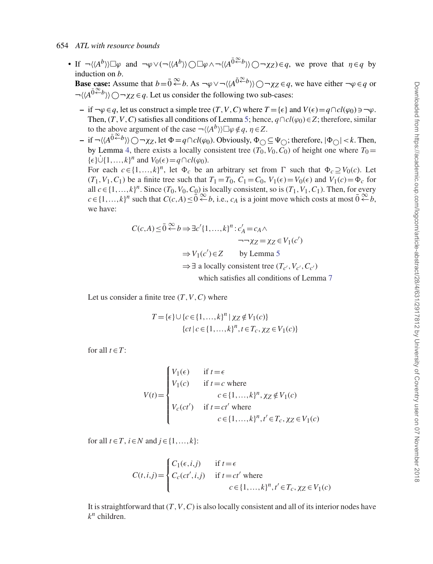- 654 *ATL with resource bounds*
	- If  $\neg \langle \langle A^b \rangle \rangle \Box \varphi$  and  $\neg \varphi \vee (\neg \langle \langle A^b \rangle \rangle \bigcirc \Box \varphi \wedge \neg \langle \langle A^{\overline{0}} \stackrel{\infty}{\leftarrow} b \rangle \rangle \bigcirc \neg \chi_Z) \in q$ , we prove that  $\eta \in q$  by induction on *b*. **Base case:** Assume that  $b = \overline{0} \stackrel{\infty}{\leftarrow} b$ . As  $\neg \varphi \lor \neg \langle \langle A^{\overline{0} \stackrel{\infty}{\leftarrow} b} \rangle \rangle \bigcirc \neg \chi_Z \in q$ , we have either  $\neg \varphi \in q$  or

 $\neg \langle \langle A^{0} \stackrel{\sim}{\leftarrow} b \rangle \rangle \bigcirc \neg \chi_{Z} \in q$ . Let us consider the following two sub-cases:

- **−** if  $\neg \varphi \in q$ , let us construct a simple tree  $(T, V, C)$  where  $T = \{\epsilon\}$  and  $V(\epsilon) = q \cap cl(\varphi_0) \ni \neg \varphi$ . Then,  $(T, V, C)$  satisfies all conditions of Lemma [5;](#page-18-0) hence,  $q \cap cl(\varphi_0) \in Z$ ; therefore, similar to the above argument of the case  $\neg \langle \langle A^b \rangle \rangle \Box \varphi \notin q, \eta \in Z$ .
- $-\text{ if } \neg \langle \langle A^{0} \stackrel{\infty}{\leftarrow} b \rangle \rangle \bigcirc \neg \chi_Z, \text{ let } \Phi = q \cap \text{cl}(\varphi_0)$ . Obviously,  $\Phi \bigcirc \subseteq \Psi_{\bigcirc}$ ; therefore,  $|\Phi_{\bigcirc}| < k$ . Then, by Lemma [4,](#page-14-0) there exists a locally consistent tree  $(T_0, V_0, C_0)$  of height one where  $T_0 =$  $\{\epsilon\}$  $\dot{\cup}$ {1,..., $k$ }<sup>n</sup> and  $V_0(\epsilon) = q \cap cl(\varphi_0)$ . For each  $c \in \{1, ..., k\}^n$ , let  $\Phi_c$  be an arbitrary set from  $\Gamma$  such that  $\Phi_c \supseteq V_0(c)$ . Let

 $(T_1, V_1, C_1)$  be a finite tree such that  $T_1 = T_0$ ,  $C_1 = C_0$ ,  $V_1(\epsilon) = V_0(\epsilon)$  and  $V_1(c) = \Phi_c$  for all  $c \in \{1, ..., k\}^n$ . Since  $(T_0, V_0, C_0)$  is locally consistent, so is  $(T_1, V_1, C_1)$ . Then, for every  $c \in \{1, ..., k\}^n$  such that  $C(c, A) \leq \overline{0} \stackrel{\infty}{\leftarrow} b$ , i.e.,  $c_A$  is a joint move which costs at most  $\overline{0} \stackrel{\infty}{\leftarrow} b$ , we have:

$$
C(c, A) \leq \overline{0} \stackrel{\infty}{\leftarrow} b \Rightarrow \exists c' \{1, ..., k\}^n : c'_A = c_A \land
$$
  
\n
$$
\neg\neg\chi_Z = \chi_Z \in V_1(c')
$$
  
\n
$$
\Rightarrow V_1(c') \in Z \qquad \text{by Lemma 5}
$$
  
\n
$$
\Rightarrow \exists \text{ a locally consistent tree } (T_{c'}, V_{c'}, C_{c'})
$$
  
\nwhich satisfies all conditions of Lemma 7

Let us consider a finite tree  $(T, V, C)$  where

$$
T = \{ \epsilon \} \cup \{ c \in \{ 1, ..., k \}^n \mid \chi_Z \notin V_1(c) \}
$$

$$
\{ ct \mid c \in \{ 1, ..., k \}^n, t \in T_c, \chi_Z \in V_1(c) \}
$$

for all  $t \in T$ :

$$
V(t) = \begin{cases} V_1(\epsilon) & \text{if } t = \epsilon \\ V_1(c) & \text{if } t = c \text{ where} \\ c \in \{1, ..., k\}^n, \chi_Z \notin V_1(c) \\ V_c(ct') & \text{if } t = ct' \text{ where} \\ c \in \{1, ..., k\}^n, t' \in T_c, \chi_Z \in V_1(c) \end{cases}
$$

for all *t*∈*T*, *i*∈*N* and *j*∈{1,...,*k*}:

$$
C(t, i, j) = \begin{cases} C_1(\epsilon, i, j) & \text{if } t = \epsilon \\ C_c(ct', i, j) & \text{if } t = ct' \text{ where} \\ c \in \{1, ..., k\}^n, t' \in T_c, \chi_Z \in V_1(c) \end{cases}
$$

It is straightforward that (*T*,*V*,*C*) is also locally consistent and all of its interior nodes have  $k^n$  children.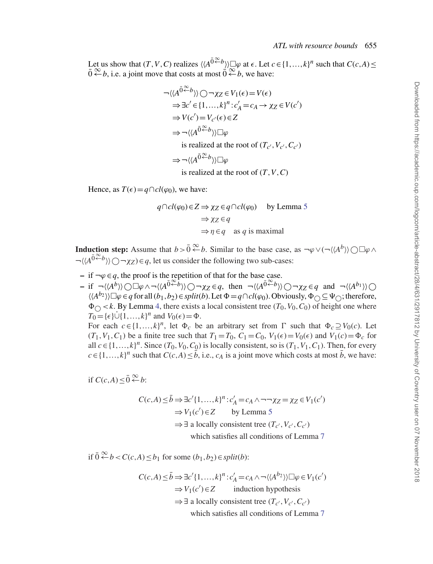Let us show that  $(T, V, C)$  realizes  $\langle \langle A^{0} \rangle \rangle \Box \varphi$  at  $\epsilon$ . Let  $c \in \{1, ..., k\}^n$  such that  $C(c, A) \leq$  $\overline{0} \overset{\infty}{\leftarrow} b$ , i.e. a joint move that costs at most  $\overline{0} \overset{7}{\leftarrow} b$ , we have:

$$
\neg \langle \langle A^{\overline{0}} \stackrel{\sim}{\leftarrow} b \rangle \rangle \bigcirc \neg \chi_Z \in V_1(\epsilon) = V(\epsilon)
$$
  
\n
$$
\Rightarrow \exists c' \in \{1, ..., k\}^n : c'_A = c_A \rightarrow \chi_Z \in V(c')
$$
  
\n
$$
\Rightarrow V(c') = V_{c'}(\epsilon) \in Z
$$
  
\n
$$
\Rightarrow \neg \langle \langle A^{\overline{0}} \stackrel{\sim}{\leftarrow} b \rangle \rangle \Box \varphi
$$
  
\nis realized at the root of  $(T_{c'}, V_{c'}, C_{c'})$   
\n
$$
\Rightarrow \neg \langle \langle A^{\overline{0}} \stackrel{\sim}{\leftarrow} b \rangle \rangle \Box \varphi
$$

is realized at the root of (*T*,*V*,*C*)

Hence, as  $T(\epsilon) = q \cap cl(\varphi_0)$ , we have:

$$
q \cap cl(\varphi_0) \in Z \Rightarrow \chi_Z \in q \cap cl(\varphi_0) \quad \text{by Lemma 5}
$$

$$
\Rightarrow \chi_Z \in q
$$

$$
\Rightarrow \eta \in q \quad \text{as } q \text{ is maximal}
$$

**Induction step:** Assume that  $b > \overline{0} \stackrel{\infty}{\leftarrow} b$ . Similar to the base case, as  $\neg \varphi \vee (\neg \langle \langle A^b \rangle \rangle \bigcirc \Box \varphi \wedge b)$  $\neg \langle \langle A^{0} \stackrel{\sim}{\leftarrow} b \rangle \rangle \bigcirc \neg \chi_Z \rangle \in q$ , let us consider the following two sub-cases:

**−** if  $\neg \varphi \in q$ , the proof is the repetition of that for the base case.

 $-\text{ if } \neg \langle \langle A^{b} \rangle \rangle \bigcirc \Box \varphi \wedge \neg \langle \langle A^{0\stackrel{\infty}{\leftarrow} b} \rangle \rangle \bigcirc \neg \chi_Z \in q$ , then  $\neg \langle \langle A^{0\stackrel{\infty}{\leftarrow} b} \rangle \rangle \bigcirc \neg \chi_Z \in q$  and  $\neg \langle \langle A^{b_1} \rangle \rangle \bigcirc$  $\langle \langle A^{b_2} \rangle \rangle \Box \varphi \in q$  for all  $(b_1, b_2) \in split(b)$ . Let  $\Phi = q \cap cl(\varphi_0)$ . Obviously,  $\Phi \bigcirc \subseteq \Psi \bigcirc$ ; therefore,  $\Phi \cap \langle k, k \rangle$  Lemma [4,](#page-14-0) there exists a local consistent tree  $(T_0, V_0, C_0)$  of height one where  $T_0 = {\epsilon} \dot{\cup} {1, ..., k}$ *n* and  $V_0({\epsilon}) = \Phi$ . For each  $c \in \{1, ..., k\}^n$ , let  $\Phi_c$  be an arbitrary set from  $\Gamma$  such that  $\Phi_c \supseteq V_0(c)$ . Let  $(T_1, V_1, C_1)$  be a finite tree such that  $T_1 = T_0$ ,  $C_1 = C_0$ ,  $V_1(\epsilon) = V_0(\epsilon)$  and  $V_1(c) = \Phi_c$  for

all *c*∈{1,...,*k*}<sup>*n*</sup>. Since (*T*<sub>0</sub>, *V*<sub>0</sub>, *C*<sub>0</sub>) is locally consistent, so is (*T*<sub>1</sub>, *V*<sub>1</sub>, *C*<sub>1</sub>). Then, for every  $c \in \{1, ..., k\}^n$  such that  $C(c, A) \leq \overline{b}$ , i.e.,  $c_A$  is a joint move which costs at most  $\overline{b}$ , we have:

if  $C(c, A) \leq \overline{0} \stackrel{\infty}{\leftarrow} b$ :

$$
C(c, A) \le \bar{b} \Rightarrow \exists c' \{1, ..., k\}^n : c'_A = c_A \land \neg \neg \chi_Z = \chi_Z \in V_1(c')
$$
  
\n
$$
\Rightarrow V_1(c') \in Z \qquad \text{by Lemma 5}
$$
  
\n
$$
\Rightarrow \exists \text{ a locally consistent tree } (T_{c'}, V_{c'}, C_{c'})
$$
  
\nwhich satisfies all conditions of Lemma 7

if  $\overline{0} \stackrel{\infty}{\leftarrow} b < C(c, A) \leq b_1$  for some  $(b_1, b_2) \in split(b)$ :

$$
C(c, A) \le \bar{b} \Rightarrow \exists c' \{1, ..., k\}^n : c'_A = c_A \land \neg \langle \langle A^{b_2} \rangle \rangle \Box \varphi \in V_1(c')
$$
  
\n
$$
\Rightarrow V_1(c') \in Z \qquad \text{induction hypothesis}
$$
  
\n
$$
\Rightarrow \exists \text{ a locally consistent tree } (T_{c'}, V_{c'}, C_{c'})
$$
  
\nwhich satisfies all conditions of Lemma 7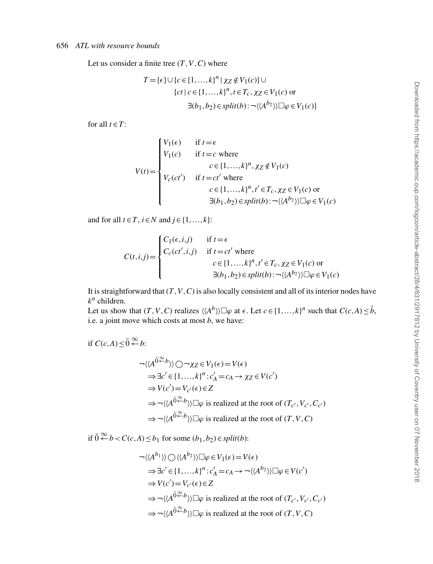Let us consider a finite tree  $(T, V, C)$  where

$$
T = \{\epsilon\} \cup \{c \in \{1, ..., k\}^n \mid \chi_Z \notin V_1(c)\} \cup
$$
  

$$
\{ct \mid c \in \{1, ..., k\}^n, t \in T_c, \chi_Z \in V_1(c) \text{ or }
$$
  

$$
\exists (b_1, b_2) \in split(b) : \neg \langle \langle A^{b_2} \rangle \rangle \square \varphi \in V_1(c)\}
$$

for all  $t \in T$ :

$$
V(t) = \begin{cases} V_1(\epsilon) & \text{if } t = \epsilon \\ V_1(c) & \text{if } t = c \text{ where} \\ c \in \{1, ..., k\}^n, \chi_Z \notin V_1(c) \\ V_c(ct') & \text{if } t = ct' \text{ where} \\ c \in \{1, ..., k\}^n, t' \in T_c, \chi_Z \in V_1(c) \text{ or} \\ \exists (b_1, b_2) \in split(b) : \neg \langle \langle A^{b_2} \rangle \rangle \Box \varphi \in V_1(c) \end{cases}
$$

and for all  $t \in T$ ,  $i \in N$  and  $j \in \{1, ..., k\}$ :

$$
C(t, i, j) = \begin{cases} C_1(\epsilon, i, j) & \text{if } t = \epsilon \\ C_c(ct', i, j) & \text{if } t = ct' \text{ where} \\ c \in \{1, ..., k\}^n, t' \in T_c, \chi_Z \in V_1(c) \text{ or} \\ \exists (b_1, b_2) \in split(b) : \neg \langle \langle A^{b_2} \rangle \rangle \Box \varphi \in V_1(c) \end{cases}
$$

It is straightforward that  $(T, V, C)$  is also locally consistent and all of its interior nodes have *k<sup>n</sup>* children.

Let us show that  $(T, V, C)$  realizes  $\langle \langle A^b \rangle \rangle \Box \varphi$  at  $\epsilon$ . Let  $c \in \{1, ..., k\}^n$  such that  $C(c, A) \leq \overline{b}$ , i.e. a joint move which costs at most *b*, we have:

if  $C(c, A)$ ≤0 $\stackrel{\infty}{\leftarrow} b$ :

$$
\neg \langle \langle A^{\overline{0}} \stackrel{\sim}{\leftarrow} b \rangle \rangle \bigcirc \neg \chi_Z \in V_1(\epsilon) = V(\epsilon)
$$
  
\n
$$
\Rightarrow \exists c' \in \{1, ..., k\}^n : c'_A = c_A \rightarrow \chi_Z \in V(c')
$$
  
\n
$$
\Rightarrow V(c') = V_{c'}(\epsilon) \in Z
$$
  
\n
$$
\Rightarrow \neg \langle \langle A^{\overline{0}} \stackrel{\sim}{\leftarrow} b \rangle \rangle \Box \varphi \text{ is realized at the root of } (T_{c'}, V_{c'}, C_{c'})
$$
  
\n
$$
\Rightarrow \neg \langle \langle A^{\overline{0}} \stackrel{\sim}{\leftarrow} b \rangle \rangle \Box \varphi \text{ is realized at the root of } (T, V, C)
$$

if  $\overline{0} \stackrel{\infty}{\leftarrow} b < C(c, A) \leq b_1$  for some  $(b_1, b_2) \in split(b)$ :

$$
\neg \langle \langle A^{b_1} \rangle \rangle \bigcirc \langle \langle A^{b_2} \rangle \rangle \square \varphi \in V_1(\epsilon) = V(\epsilon)
$$
  
\n
$$
\Rightarrow \exists c' \in \{1, ..., k\}^n : c'_A = c_A \rightarrow \neg \langle \langle A^{b_2} \rangle \rangle \square \varphi \in V(c')
$$
  
\n
$$
\Rightarrow V(c') = V_{c'}(\epsilon) \in Z
$$
  
\n
$$
\Rightarrow \neg \langle \langle A^{\overline{0 \stackrel{\sim}{\leftarrow} b}} \rangle \rangle \square \varphi \text{ is realized at the root of } (T_{c'}, V_{c'}, C_{c'})
$$
  
\n
$$
\Rightarrow \neg \langle \langle A^{\overline{0 \stackrel{\sim}{\leftarrow} b}} \rangle \rangle \square \varphi \text{ is realized at the root of } (T, V, C)
$$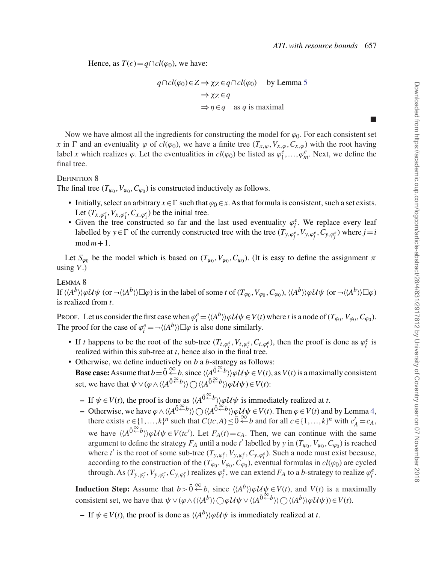Ц

<span id="page-27-0"></span>Hence, as  $T(\epsilon) = q \cap cl(\varphi_0)$ , we have:

$$
q \cap cl(\varphi_0) \in Z \Rightarrow \chi_Z \in q \cap cl(\varphi_0) \quad \text{by Lemma 5}
$$

$$
\Rightarrow \chi_Z \in q
$$

$$
\Rightarrow \eta \in q \quad \text{as } q \text{ is maximal}
$$

Now we have almost all the ingredients for constructing the model for  $\varphi_0$ . For each consistent set *x* in  $\Gamma$  and an eventuality  $\varphi$  of  $cl(\varphi_0)$ , we have a finite tree  $(T_{x,\varphi},V_{x,\varphi},C_{x,\varphi})$  with the root having label *x* which realizes  $\varphi$ . Let the eventualities in  $cl(\varphi_0)$  be listed as  $\varphi_1^e, \ldots, \varphi_m^e$ . Next, we define the final tree.

**DEFINITION 8** 

The final tree  $(T_{\varphi_0}, V_{\varphi_0}, C_{\varphi_0})$  is constructed inductively as follows.

- Initially, select an arbitrary  $x \in \Gamma$  such that  $\varphi_0 \in x$ . As that formula is consistent, such a set exists. Let  $(T_{x,\varphi_1^e}, V_{x,\varphi_1^e}, C_{x,\varphi_1^e})$  be the initial tree.
- Given the tree constructed so far and the last used eventuality  $\varphi_i^e$ . We replace every leaf labelled by  $y \in \Gamma$  of the currently constructed tree with the tree  $(T_{y,\phi_j^e}, V_{y,\phi_j^e}, C_{y,\phi_j^e})$  where  $j = i$  $mod m+1$ .

Let  $S_{\varphi_0}$  be the model which is based on  $(T_{\varphi_0}, V_{\varphi_0}, C_{\varphi_0})$ . (It is easy to define the assignment  $\pi$ using *V*.)

If  $\langle\langle A^b \rangle\rangle \varphi \mathcal{U} \psi$  (or  $\neg \langle\langle A^b \rangle\rangle \Box \varphi$ ) is in the label of some *t* of  $(T_{\varphi_0}, V_{\varphi_0}, C_{\varphi_0}), \langle\langle A^b \rangle\rangle \varphi \mathcal{U} \psi$  (or  $\neg \langle\langle A^b \rangle\rangle \Box \varphi$ ) is realized from *t*.

PROOF. Let us consider the first case when  $\varphi_i^e = \langle \langle A^b \rangle \rangle \varphi \mathcal{U} \psi \in V(t)$  where *t* is a node of  $(T_{\varphi_0}, V_{\varphi_0}, C_{\varphi_0})$ .<br>The proof for the case of  $\varphi_e^e = \psi(A^b) \setminus \Box$  is also done similarly. The proof for the case of  $\varphi_i^e = \neg \langle \langle A^b \rangle \rangle \Box \varphi$  is also done similarly.

- If *t* happens to be the root of the sub-tree  $(T_{t, \varphi_i^e}, V_{t, \varphi_i^e}, C_{t, \varphi_i^e})$ , then the proof is done as  $\varphi_i^e$  is realized within this sub-tree at *t*, hence also in the final tree.
- Otherwise, we define inductively on *b* a *b*-strategy as follows: **Base case:** Assume that  $b = \overline{0} \sum_{k=0}^{\infty} b_k$ , since  $\langle\langle A_0 \overline{\alpha} \rangle^k b \rangle \varphi \mathcal{U} \psi \in V(t)$ , as  $V(t)$  is a maximally consistent set, we have that  $\psi \lor (\varphi \land \langle \langle A^{\overline{0}} \stackrel{\infty}{\longleftrightarrow} b \rangle) \bigcirc \langle \langle A^{\overline{0}} \stackrel{\infty}{\longleftrightarrow} b \rangle \rangle \varphi \mathcal{U} \psi) \in V(t)$ :
	- **−** If  $\psi \in V(t)$ , the proof is done as  $\langle\langle A^{0} \stackrel{\infty}{\sim} b \rangle\rangle \psi \mathcal{U} \psi$  is immediately realized at *t*.
	- $\rightarrow$  Otherwise, we have  $\phi \land \langle \langle A^{0} \stackrel{\infty}{\leftarrow} b \rangle \rangle \bigcirc \langle \langle A^{0} \stackrel{\infty}{\leftarrow} b \rangle \rangle \phi \mathcal{U} \psi \in V(t)$ . Then  $\phi \in V(t)$  and by Lemma [4,](#page-14-0) there exists  $c \in \{1, ..., k\}^n$  such that  $C(tc, A) \leq \overline{0} \overset{\infty}{\leftarrow} b$  and for all  $c \in \{1, ..., k\}^n$  with  $c'_A = c_A$ , we have  $\langle\langle A^{0} \stackrel{\sim}{\leftarrow} b \rangle\rangle \varphi U \psi \in V(tc')$ . Let  $F_A(t) = c_A$ . Then, we can continue with the same argument to define the strategy  $F_A$  until a node  $t'$  labelled by  $y$  in  $(T_{\varphi_0}, V_{\varphi_0}, C_{\varphi_0})$  is reached where *t'* is the root of some sub-tree  $(T_{y, \varphi_i^e}, V_{y, \varphi_i^e}, C_{y, \varphi_i^e})$ . Such a node must exist because, according to the construction of the  $(T_{\varphi_0}, V_{\varphi_0}, C_{\varphi_0})$ , eventual formulas in  $cl(\varphi_0)$  are cycled through. As  $(T_{y,\varphi_i^e}, V_{y,\varphi_i^e}, C_{y,\varphi_i^e})$  realizes  $\varphi_i^e$ , we can extend  $F_A$  to a *b*-strategy to realize  $\varphi_i^e$ .

**Induction Step:** Assume that  $b > \overline{0} \stackrel{\infty}{\leftarrow} b$ , since  $\langle \langle A^b \rangle \rangle \varphi U \psi \in V(t)$ , and  $V(t)$  is a maximally consistent set, we have that  $\psi \lor (\varphi \land (\langle \langle A^b \rangle \rangle \bigcirc \varphi \mathcal{U} \psi \lor \langle \langle A^{\overline{b}} \stackrel{\sim}{\leftarrow} b \rangle \rangle \bigcirc (\langle A^b \rangle \varphi \mathcal{U} \psi)) \in V(t)$ .

**−** If  $\psi \in V(t)$ , the proof is done as  $\langle \langle A^b \rangle \rangle \varphi \mathcal{U} \psi$  is immediately realized at *t*.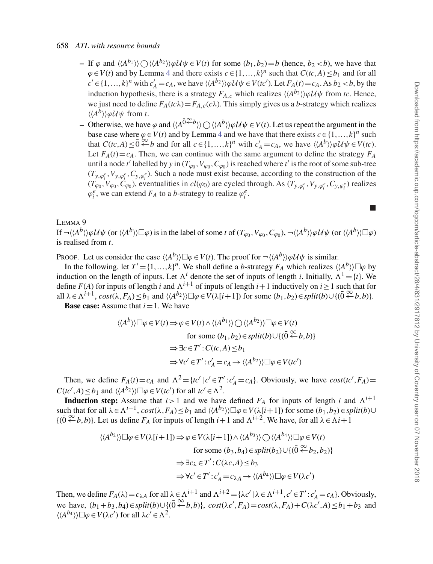$\blacksquare$ 

#### <span id="page-28-0"></span>658 *ATL with resource bounds*

- **−** If  $\varphi$  and  $\langle \langle A^{b_1} \rangle \rangle \bigcap \langle \langle A^{b_2} \rangle \rangle \varphi \mathcal{U} \psi \in V(t)$  for some  $(b_1, b_2) = b$  (hence,  $b_2 < b$ ), we have that  $\varphi$ ∈ *V*(*t*) and by Lemma [4](#page-14-0) and there exists *c*∈{1,...,*k*}<sup>*n*</sup> such that *C*(*tc*,*A*)≤*b*<sub>1</sub> and for all  $c' \in \{1, ..., k\}^n$  with  $c'_A = c_A$ , we have  $\langle \langle A^{b_2} \rangle \rangle \varphi U \psi \in V(tc')$ . Let  $F_A(t) = c_A$ . As  $b_2 < b$ , by the induction hypothesis, there is a strategy  $F_{A,c}$  which realizes  $\langle A^{b_2} \rangle \rangle \varphi \mathcal{U} \psi$  from *tc*. Hence, we just need to define  $F_A(tc\lambda) = F_{A,c}(c\lambda)$ . This simply gives us a *b*-strategy which realizes  $\langle \langle A^b \rangle \rangle \varphi \mathcal{U} \psi$  from *t*.
- $\rightarrow$  Otherwise, we have *ϕ* and  $\langle\langle A^{0}e^{i\theta}\rangle\rangle$   $\bigcirc$   $\langle\langle A^{b}\rangle\rangle$   $\varphi$  *U*  $\psi$  ∈ *V*(*t*). Let us repeat the argument in the base case where  $\varphi \in V(t)$  and by Lemma [4](#page-14-0) and we have that there exists  $c \in \{1, ..., k\}^n$  such that  $C(tc,A) \leq 0 \leq b$  and for all  $c \in \{1,\ldots,k\}^n$  with  $c'_A = c_A$ , we have  $\langle \langle A^b \rangle \rangle \varphi U \psi \in V(tc)$ . Let  $F_A(t) = c_A$ . Then, we can continue with the same argument to define the strategy  $F_A$ until a node *t*<sup>'</sup> labelled by *y* in  $(T_{\varphi_0}, V_{\varphi_0}, C_{\varphi_0})$  is reached where *t*<sup>'</sup> is the root of some sub-tree  $(T_{y,\varphi_i^e}, V_{y,\varphi_i^e}, C_{y,\varphi_i^e})$ . Such a node must exist because, according to the construction of the  $(T_{\varphi_0}, V_{\varphi_0}, C_{\varphi_0})$ , eventualities in  $cl(\varphi_0)$  are cycled through. As  $(T_{y, \varphi_i^e}, V_{y, \varphi_i^e}, C_{y, \varphi_i^e})$  realizes  $\varphi_i^e$ , we can extend *F<sub>A</sub>* to a *b*-strategy to realize  $\varphi_i^e$ .

If  $\neg \langle \langle A^b \rangle \rangle \varphi \mathcal{U} \psi$  (or  $\langle \langle A^b \rangle \rangle \Box \varphi$ ) is in the label of some *t* of  $(T_{\varphi_0}, V_{\varphi_0}, C_{\varphi_0})$ ,  $\neg \langle \langle A^b \rangle \rangle \varphi \mathcal{U} \psi$  (or  $\langle \langle A^b \rangle \rangle \Box \varphi$ ) is realised from *t*.

PROOF. Let us consider the case  $\langle \langle A^b \rangle \rangle \Box \varphi \in V(t)$ . The proof for  $\neg \langle \langle A^b \rangle \rangle \varphi U \psi$  is similar.<br>In the following let  $T' - I1 = \lambda^2 I^m$  We shall define a b-strategy  $F_A$  which realizes (

In the following, let  $T' = \{1, ..., k\}^n$ . We shall define a *b*-strategy  $F_A$  which realizes  $\langle \langle A^b \rangle \rangle \Box \varphi$  by induction on the length of inputs. Let  $\Lambda^i$  denote the set of inputs of length *i*. Initially,  $\Lambda^1 = \{t\}$ . We define  $F(A)$  for inputs of length *i* and  $\Lambda^{i+1}$  of inputs of length *i*+1 inductively on *i*  $\geq$  1 such that for all  $\lambda \in \Lambda^{i+1}$ ,  $cost(\lambda, F_A) \leq b_1$  and  $\langle \langle A^{b_2} \rangle \rangle \Box \varphi \in V(\lambda[i+1])$  for some  $(b_1, b_2) \in split(b) \cup \{(\overline{0} \overset{\infty}{\leftarrow} b, b)\}.$ 

**Base case:** Assume that  $i = 1$ . We have

$$
\langle \langle A^b \rangle \rangle \Box \varphi \in V(t) \Rightarrow \varphi \in V(t) \land \langle \langle A^{b_1} \rangle \rangle \bigcirc \langle \langle A^{b_2} \rangle \rangle \Box \varphi \in V(t)
$$
  
for some  $(b_1, b_2) \in split(b) \cup \{(\overline{0} \stackrel{\infty}{\leftarrow} b, b)\}\}$   

$$
\Rightarrow \exists c \in T': C(t, A) \leq b_1
$$
  

$$
\Rightarrow \forall c' \in T': c'_A = c_A \rightarrow \langle \langle A^{b_2} \rangle \rangle \Box \varphi \in V(tc')
$$

Then, we define  $F_A(t) = c_A$  and  $\Lambda^2 = \{tc' \mid c' \in T' : c'_A = c_A\}$ . Obviously, we have  $cost(tv', F_A) =$  $C(tc', A) \le b_1$  and  $\langle \langle A^{b_2} \rangle \rangle \Box \varphi \in V(tc')$  for all  $tc' \in \Lambda^2$ .

**Induction step:** Assume that  $i > 1$  and we have defined  $F_A$  for inputs of length *i* and  $\Lambda^{i+1}$ such that for all  $\lambda \in \Lambda^{i+1}$ ,  $cost(\lambda, F_A) \leq b_1$  and  $\langle \langle A^{b_2} \rangle \rangle \Box \varphi \in V(\lambda[i+1])$  for some  $(b_1, b_2) \in split(b) \cup$  ${\overline{\alpha}}$  {( $\overline{0} \stackrel{\infty}{\leftarrow} b, b$ )}. Let us define *F<sub>A</sub>* for inputs of length *i*+1 and  $\Lambda^{i+2}$ . We have, for all  $\lambda \in \Lambda i+1$ 

$$
\langle \langle A^{b_2} \rangle \rangle \Box \varphi \in V(\lambda[i+1]) \Rightarrow \varphi \in V(\lambda[i+1]) \land \langle \langle A^{b_3} \rangle \rangle \bigcirc \langle \langle A^{b_4} \rangle \rangle \Box \varphi \in V(t)
$$
  
for some  $(b_3, b_4) \in split(b_2) \cup \{(\overline{0} \stackrel{\infty}{\leftarrow} b_2, b_2)\}$   

$$
\Rightarrow \exists c_{\lambda} \in T' : C(\lambda c, A) \leq b_3
$$
  

$$
\Rightarrow \forall c' \in T' : c'_A = c_{\lambda A} \rightarrow \langle \langle A^{b_4} \rangle \rangle \Box \varphi \in V(\lambda c')
$$

Then, we define  $F_A(\lambda) = c_{\lambda A}$  for all  $\lambda \in \Lambda^{i+1}$  and  $\Lambda^{i+2} = {\lambda c' | \lambda \in \Lambda^{i+1}, c' \in T' : c'_A = c_A}$ . Obviously, we have,  $(b_1+b_3,b_4) \in split(b) \cup \{(\overline{0} \stackrel{\infty}{\leftarrow} b,b)\}, \; cost(\lambda c',F_A) = cost(\lambda, F_A) + C(\lambda c',A) \leq b_1+b_3$  and  $\langle \langle A^{b_4} \rangle \rangle \Box \varphi \in V(\lambda c')$  for all  $\lambda c' \in \Lambda^2$ .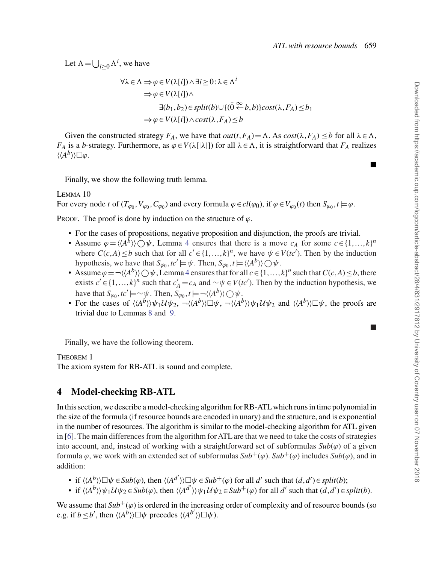<span id="page-29-0"></span>Let  $\Lambda = \bigcup_{i \geq 0} \Lambda^i$ , we have

$$
\forall \lambda \in \Lambda \Rightarrow \varphi \in V(\lambda[i]) \land \exists i \geq 0 : \lambda \in \Lambda^i
$$
  
\n
$$
\Rightarrow \varphi \in V(\lambda[i]) \land
$$
  
\n
$$
\exists (b_1, b_2) \in split(b) \cup \{(\overline{0} \stackrel{\infty}{\leftarrow} b, b)\} cost(\lambda, F_A) \leq b_1
$$
  
\n
$$
\Rightarrow \varphi \in V(\lambda[i]) \land cost(\lambda, F_A) \leq b
$$

Given the constructed strategy  $F_A$ , we have that  $out(t, F_A) = \Lambda$ . As  $cost(\lambda, F_A) \leq b$  for all  $\lambda \in \Lambda$ , *FA* is a *b*-strategy. Furthermore, as  $\varphi \in V(\lambda[|\lambda|])$  for all  $\lambda \in \Lambda$ , it is straightforward that *F<sub>A</sub>* realizes  $\langle \langle A^b \rangle \rangle \Box \varphi$ .

Finally, we show the following truth lemma.

For every node *t* of  $(T_{\varphi_0}, V_{\varphi_0}, C_{\varphi_0})$  and every formula  $\varphi \in cl(\varphi_0)$ , if  $\varphi \in V_{\varphi_0}(t)$  then  $S_{\varphi_0}, t \models \varphi$ .

PROOF. The proof is done by induction on the structure of  $\varphi$ .

- For the cases of propositions, negative proposition and disjunction, the proofs are trivial.
- Assume  $\varphi = \langle A^b \rangle \langle \bigcirc \psi \rangle$ , Lemma [4](#page-14-0) ensures that there is a move  $c_A$  for some  $c \in \{1, \ldots, k\}^n$ where  $C(c, A) \leq b$  such that for all  $c' \in \{1, ..., k\}^n$ , we have  $\psi \in V(tc')$ . Then by the induction hypothesis, we have that  $S_{\varphi_0}$ ,  $tc' \models \psi$ . Then,  $S_{\varphi_0}$ ,  $t \models \langle \langle A^b \rangle \rangle \bigcirc \psi$ .
- Assume  $\varphi = \neg \langle \langle A^b \rangle \rangle \bigcirc \psi$ , Lemma [4](#page-14-0) ensures that for all  $c \in \{1, ..., k\}^n$  such that  $C(c, A) \leq b$ , there exists  $c' \in \{1, ..., k\}^n$  such that  $c'_A = c_A$  and  $\sim \psi \in V(tc')$ . Then by the induction hypothesis, we have that  $S_{\varphi_0}$ ,  $tc' \models \sim \psi$ . Then,  $S_{\varphi_0}$ ,  $t \models \neg \langle \langle A^b \rangle \rangle \bigcirc \psi$ .
- For the cases of  $\langle A^b \rangle \rangle \psi_1 U \psi_2$ ,  $\neg \langle \langle A^b \rangle \rangle \Box \psi$ ,  $\neg \langle \langle A^b \rangle \rangle \psi_1 U \psi_2$  and  $\langle \langle A^b \rangle \rangle \Box \psi$ , the proofs are trivial due to Lemmas [8](#page-27-0) and [9.](#page-28-0)

Finally, we have the following theorem.

THEOREM 1

The axiom system for RB-ATL is sound and complete.

## **4 Model-checking RB-ATL**

In this section, we describe a model-checking algorithm for RB-ATLwhich runs in time polynomial in the size of the formula (if resource bounds are encoded in unary) and the structure, and is exponential in the number of resources. The algorithm is similar to the model-checking algorithm for ATL given in [\[6](#page-33-0)]. The main differences from the algorithm for ATL are that we need to take the costs of strategies into account, and, instead of working with a straightforward set of subformulas  $\text{Sub}(\varphi)$  of a given formula  $\varphi$ , we work with an extended set of subformulas  $Sub^+(\varphi)$ . *Sub*+( $\varphi$ ) includes  $Sub(\varphi)$ , and in addition:

- if  $\langle \langle A^b \rangle \rangle \Box \psi \in Sub(\varphi)$ , then  $\langle \langle A^{d'} \rangle \rangle \Box \psi \in Sub^+(\varphi)$  for all *d'* such that  $(d, d') \in split(b);$
- if  $\langle \langle A^b \rangle \rangle \psi_1 U \psi_2 \in Sub(\varphi)$ , then  $\langle \langle A^{d'} \rangle \rangle \psi_1 U \psi_2 \in Sub^+(\varphi)$  for all *d'* such that  $(d, d') \in split(b)$ .

We assume that  $Sub^+(\varphi)$  is ordered in the increasing order of complexity and of resource bounds (so e.g. if  $b \le b'$ , then  $\langle \langle A^{b'} \rangle \rangle \Box \psi$  precedes  $\langle \langle A^{b'} \rangle \rangle \Box \psi$ ).

 $\blacksquare$ 

 $\blacksquare$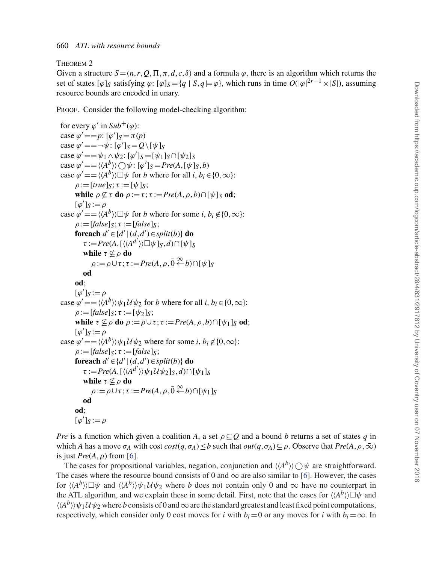Given a structure  $S=(n, r, Q, \Pi, \pi, d, c, \delta)$  and a formula  $\varphi$ , there is an algorithm which returns the set of states  $[\varphi]_S$  satisfying  $\varphi$ :  $[\varphi]_S = \{q \mid S, q \models \varphi\}$ , which runs in time  $O(|\varphi|^{2r+1} \times |S|)$ , assuming resource bounds are encoded in unary.

PROOF. Consider the following model-checking algorithm:

for every  $\varphi'$  in  $Sub^+(\varphi)$ : case  $\varphi' = = p: [\varphi']_S = \pi(p)$ case  $\varphi' = -\psi$ :  $[\varphi']_S = Q \setminus [\psi]_S$ case  $\varphi' = = \psi_1 \wedge \psi_2$ :  $[\varphi']_S = [\psi_1]_S \cap [\psi_2]_S$ case  $\varphi' = = \langle \langle A^b \rangle \rangle \bigcirc \psi : [\varphi']_S = Pre(A, [\psi]_S, b)$ case  $\varphi' = = \langle \langle A^b \rangle \rangle \Box \psi$  for *b* where for all *i*, *b<sub>i</sub>* ∈ {0, ∞}:  $\rho := [true]_S; \tau := [\psi]_S;$ **while**  $\rho \nsubseteq \tau$  **do**  $\rho := \tau; \tau := Pre(A, \rho, b) \cap [\psi]_S$  **od**;  $[\varphi']_S := \rho$ case  $\varphi' = = \langle \langle A^b \rangle \rangle \Box \psi$  for *b* where for some *i*,  $b_i \notin \{0, \infty\}$ :  $\rho := [false]_S; \tau := [false]_S;$ **foreach**  $d' \in \{d' | (d, d') \in split(b)\}$  **do**  $\tau := Pre(A, [\langle A^{d'} \rangle \rangle \Box \psi]_S, d) \cap [\psi]_S$ **while**  $\tau \not\subseteq \rho$  **do**  $\rho := \rho \cup \tau$ ;  $\tau := Pre(A, \rho, \bar{0} \stackrel{\infty}{\leftarrow} b) \cap [\psi]_S$ **od od**;  $[\varphi']_S := \rho$ case  $\varphi' = = \langle \langle A^b \rangle \rangle \psi_1 U \psi_2$  for *b* where for all *i*,  $b_i \in \{0, \infty\}$ :  $\rho := [false]_S; \tau := [\psi_2]_S;$ **while**  $\tau \nsubseteq \rho$  **do**  $\rho := \rho \cup \tau$ ;  $\tau := Pre(A, \rho, b) \cap [\psi_1]_S$  **od**;  $[\varphi']_S := \rho$ case  $\varphi' = = \langle \langle A^b \rangle \rangle \psi_1 \mathcal{U} \psi_2$  where for some *i*,  $b_i \notin \{0, \infty\}$ :  $\rho := [false]_S$ ;  $\tau := [false]_S$ ; **foreach** *d* ∈ {*d* |(*d*,*d* )∈*split*(*b*)} **do**  $\tau := Pre(A, [\langle A^{d'} \rangle \rangle \psi_1 U \psi_2]_S, d) \cap [\psi_1]_S$ **while**  $\tau \not\subseteq \rho$  **do**  $\rho := \rho \cup \tau$ ;  $\tau := Pre(A, \rho, \bar{0} \stackrel{\infty}{\leftarrow} b) \cap [\psi_1]_S$ **od od**;  $[\varphi']_S := \rho$ 

*Pre* is a function which given a coalition *A*, a set  $\rho \subseteq Q$  and a bound *b* returns a set of states *q* in which *A* has a move  $\sigma_A$  with cost  $cost(q, \sigma_A) \leq b$  such that  $out(q, \sigma_A) \subseteq \rho$ . Observe that  $Pre(A, \rho, \infty)$ is just  $Pre(A, \rho)$  from [\[6](#page-33-0)].

The cases for propositional variables, negation, conjunction and  $\langle\langle A^b \rangle\rangle \bigcirc \psi$  are straightforward. The cases where the resource bound consists of 0 and  $\infty$  are also similar to [\[6](#page-33-0)]. However, the cases for  $\langle\langle A^b \rangle\rangle \Box \psi$  and  $\langle\langle A^b \rangle\rangle \psi_1 \mathcal{U} \psi_2$  where *b* does not contain only 0 and  $\infty$  have no counterpart in the ATL algorithm, and we explain these in some detail. First, note that the cases for  $\langle\langle A^b \rangle\rangle \Box \psi$  and  $\langle A^b \rangle \langle \psi_1 \mathcal{U} \psi_2 \rangle$  where *b* consists of 0 and  $\infty$  are the standard greatest and least fixed point computations, respectively, which consider only 0 cost moves for *i* with  $b_i = 0$  or any moves for *i* with  $b_i = \infty$ . In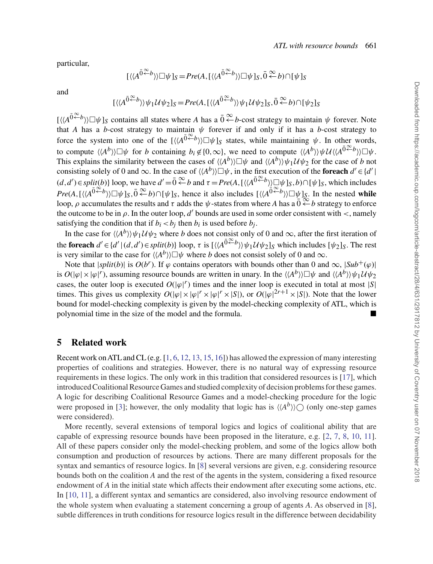<span id="page-31-0"></span>particular,

$$
[\langle\langle A^{\overline{0}}\overset{\infty}{\leftarrow}b\rangle\rangle \Box \psi]_S = Pre(A, [\langle\langle A^{\overline{0}}\overset{\infty}{\leftarrow}b\rangle\rangle \Box \psi]_S, \overline{0} \overset{\infty}{\leftarrow} b\rangle \cap [\psi]_S
$$

and

$$
[\langle\langle A^{\overline{0}}\overset{\sim}{\leftarrow}b\rangle\rangle\psi_1\mathcal{U}\psi_2]_S = Pre(A, [\langle\langle A^{\overline{0}}\overset{\sim}{\leftarrow}b\rangle\rangle\psi_1\mathcal{U}\psi_2]_S, \overline{0}\overset{\sim}{\leftarrow}b\rangle\cap[\psi_2]_S
$$

 $\left[\langle\langle A^{0} \stackrel{\infty}{\leftarrow} b \rangle\rangle \Box \psi\right]$ <sub>S</sub> contains all states where *A* has a  $\overline{0} \stackrel{\infty}{\leftarrow} b$ -cost strategy to maintain  $\psi$  forever. Note that *A* has a *b*-cost strategy to maintain  $\psi$  forever if and only if it has a *b*-cost strategy to force the system into one of the  $\left[ \langle A^{\overline{0}} \stackrel{\infty}{\leftarrow} b \rangle \rangle \square \psi \right]$ <sub>S</sub> states, while maintaining  $\psi$ . In other words, to compute  $\langle \langle A^b \rangle \rangle \Box \psi$  for *b* containing  $b_i \notin \{0, \infty\}$ , we need to compute  $\langle \langle A^b \rangle \rangle \psi \mathcal{U} \langle \langle A^{\overline{0}} \stackrel{\infty}{\leftarrow} b \rangle \rangle \Box \psi$ . This explains the similarity between the cases of  $\langle\langle A^b \rangle\rangle \Box \psi$  and  $\langle\langle A^b \rangle\rangle \psi_1 U \psi_2$  for the case of *b* not consisting solely of 0 and  $\infty$ . In the case of  $\langle\langle A^b \rangle\rangle \Box \psi$ , in the first execution of the **foreach**  $d' \in \{d' |$  $(d, d') \in split(b) \}$  loop, we have  $d' = \overline{0} \stackrel{\infty}{\leftarrow} b$  and  $\tau = Pre(A, [\langle \langle A^{\overline{0} \stackrel{\infty}{\leftarrow} b} \rangle \rangle \sqcup \langle \psi \rangle]_S, b) \cap [\psi \rangle]_S$ , which includes  $Pre(A, [\langle A^{\overline{0}} \stackrel{\infty}{\leftarrow} b \rangle] \sqcup \psi]_S$ ,  $\overline{0} \stackrel{\infty}{\leftarrow} b \cap [\psi]_S$ , hence it also includes  $[\langle \langle A^{\overline{0}} \stackrel{\infty}{\leftarrow} b \rangle] \sqcup \psi]_S$ . In the nested while loop,  $\rho$  accumulates the results and  $\tau$  adds the  $\psi$ -states from where *A* has a  $0 \stackrel{\sim}{\leftarrow} b$  strategy to enforce the outcome to be in  $\rho$ . In the outer loop, *d'* bounds are used in some order consistent with  $\lt$ , namely satisfying the condition that if  $b_i < b_j$  then  $b_i$  is used before  $b_j$ .

In the case for  $\langle\langle A^b\rangle\rangle\psi_1\mathcal{U}\psi_2$  where *b* does not consist only of 0 and  $\infty$ , after the first iteration of the **foreach**  $d' \in \{d' \mid (d, d') \in split(b)\}$  loop,  $\tau$  is  $\{ \langle \langle A^{0 \to b} \rangle \rangle \psi_1 \mathcal{U} \psi_2 \}_{S}$  which includes  $[\psi_2]_S$ . The rest is very similar to the case for  $\langle\langle A^b \rangle\rangle \Box \psi$  where *b* does not consist solely of 0 and  $\infty$ .

Note that  $|split(b)|$  is  $O(b^r)$ . If  $\varphi$  contains operators with bounds other than 0 and  $\infty$ ,  $|Sub^+(\varphi)|$ is  $O(|\varphi| \times |\varphi|^r)$ , assuming resource bounds are written in unary. In the  $\langle\langle A^b \rangle\rangle \Box \psi$  and  $\langle\langle A^b \rangle\rangle \psi_1 \mathcal{U} \psi_2$ cases, the outer loop is executed  $O(|\varphi|^r)$  times and the inner loop is executed in total at most  $|S|$ times. This gives us complexity  $O(|\varphi| \times |\varphi|^r \times |\varphi|^r \times |S|)$ , or  $O(|\varphi|^{2r+1} \times |S|)$ . Note that the lower bound for model-checking complexity is given by the model-checking complexity of ATL, which is polynomial time in the size of the model and the formula.

### **5 Related work**

Recent work onATL and CL (e.g. [\[1](#page-32-0), [6](#page-33-0), [12](#page-33-0), [13,](#page-33-0) [15,](#page-33-0) [16\]](#page-33-0)) has allowed the expression of many interesting properties of coalitions and strategies. However, there is no natural way of expressing resource requirements in these logics. The only work in this tradition that considered resources is [\[17\]](#page-33-0), which introduced Coalitional Resource Games and studied complexity of decision problems for these games. A logic for describing Coalitional Resource Games and a model-checking procedure for the logic were proposed in [\[3\]](#page-32-0); however, the only modality that logic has is  $\langle A^b \rangle \rangle \bigcap$  (only one-step games were considered).

More recently, several extensions of temporal logics and logics of coalitional ability that are capable of expressing resource bounds have been proposed in the literature, e.g. [\[2,](#page-32-0) [7,](#page-33-0) [8](#page-33-0), [10,](#page-33-0) [11](#page-33-0)]. All of these papers consider only the model-checking problem, and some of the logics allow both consumption and production of resources by actions. There are many different proposals for the syntax and semantics of resource logics. In [\[8](#page-33-0)] several versions are given, e.g. considering resource bounds both on the coalition *A* and the rest of the agents in the system, considering a fixed resource endowment of *A* in the initial state which affects their endowment after executing some actions, etc. In [\[10,](#page-33-0) [11](#page-33-0)], a different syntax and semantics are considered, also involving resource endowment of the whole system when evaluating a statement concerning a group of agents *A*. As observed in [\[8](#page-33-0)], subtle differences in truth conditions for resource logics result in the difference between decidability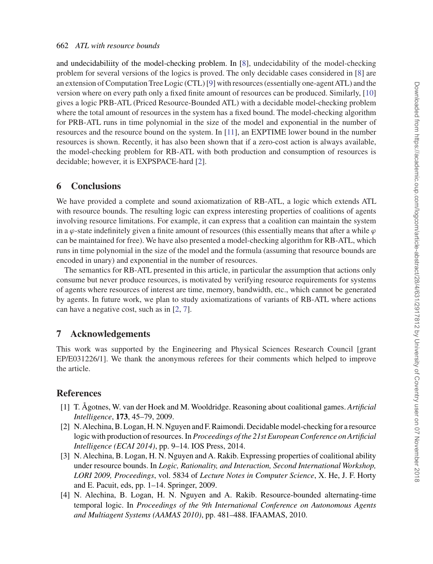<span id="page-32-0"></span>and undecidabiliity of the model-checking problem. In [\[8\]](#page-33-0), undecidability of the model-checking problem for several versions of the logics is proved. The only decidable cases considered in [\[8\]](#page-33-0) are an extension of Computation Tree Logic (CTL) [\[9\]](#page-33-0) with resources (essentially one-agentATL) and the version where on every path only a fixed finite amount of resources can be produced. Similarly, [\[10](#page-33-0)] gives a logic PRB-ATL (Priced Resource-Bounded ATL) with a decidable model-checking problem where the total amount of resources in the system has a fixed bound. The model-checking algorithm for PRB-ATL runs in time polynomial in the size of the model and exponential in the number of resources and the resource bound on the system. In [\[11](#page-33-0)], an EXPTIME lower bound in the number resources is shown. Recently, it has also been shown that if a zero-cost action is always available, the model-checking problem for RB-ATL with both production and consumption of resources is decidable; however, it is EXPSPACE-hard [2].

### **6 Conclusions**

We have provided a complete and sound axiomatization of RB-ATL, a logic which extends ATL with resource bounds. The resulting logic can express interesting properties of coalitions of agents involving resource limitations. For example, it can express that a coalition can maintain the system in a  $\varphi$ -state indefinitely given a finite amount of resources (this essentially means that after a while  $\varphi$ can be maintained for free). We have also presented a model-checking algorithm for RB-ATL, which runs in time polynomial in the size of the model and the formula (assuming that resource bounds are encoded in unary) and exponential in the number of resources.

The semantics for RB-ATL presented in this article, in particular the assumption that actions only consume but never produce resources, is motivated by verifying resource requirements for systems of agents where resources of interest are time, memory, bandwidth, etc., which cannot be generated by agents. In future work, we plan to study axiomatizations of variants of RB-ATL where actions can have a negative cost, such as in [2, [7\]](#page-33-0).

### **7 Acknowledgements**

This work was supported by the Engineering and Physical Sciences Research Council [grant EP/E031226/1]. We thank the anonymous referees for their comments which helped to improve the article.

### **References**

- [1] T. Ågotnes, W. van der Hoek and M. Wooldridge. Reasoning about coalitional games. *Artificial Intelligence*, **173**, 45–79, 2009.
- [2] N.Alechina, B. Logan, H. N. Nguyen and F. Raimondi. Decidable model-checking for a resource logic with production of resources. In *Proceedings of the 21st European Conference on Artificial Intelligence (ECAI 2014)*, pp. 9–14. IOS Press, 2014.
- [3] N. Alechina, B. Logan, H. N. Nguyen and A. Rakib. Expressing properties of coalitional ability under resource bounds. In *Logic, Rationality, and Interaction, Second International Workshop, LORI 2009, Proceedings*, vol. 5834 of *Lecture Notes in Computer Science*, X. He, J. F. Horty and E. Pacuit, eds, pp. 1–14. Springer, 2009.
- [4] N. Alechina, B. Logan, H. N. Nguyen and A. Rakib. Resource-bounded alternating-time temporal logic. In *Proceedings of the 9th International Conference on Autonomous Agents and Multiagent Systems (AAMAS 2010)*, pp. 481–488. IFAAMAS, 2010.